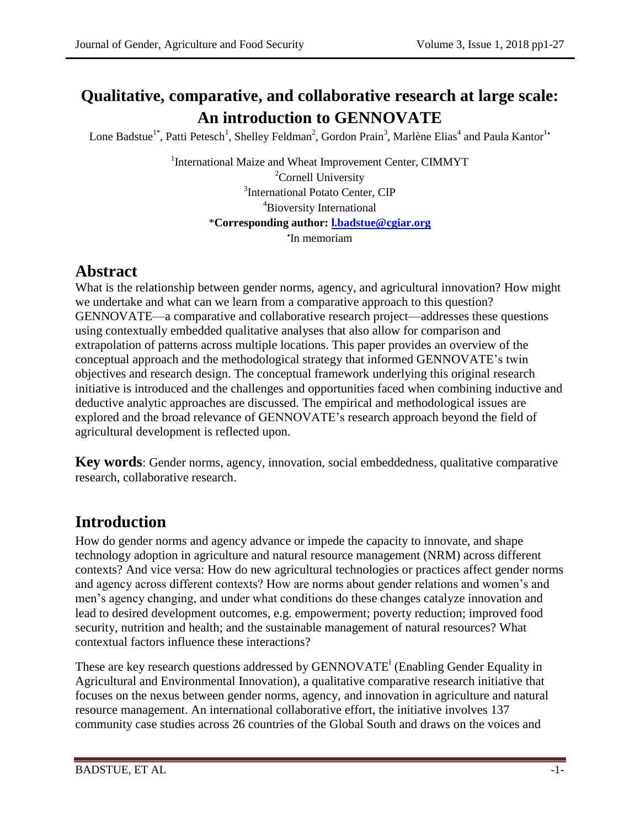# **Qualitative, comparative, and collaborative research at large scale: An introduction to GENNOVATE**

Lone Badstue<sup>1\*</sup>, Patti Petesch<sup>1</sup>, Shelley Feldman<sup>2</sup>, Gordon Prain<sup>3</sup>, Marlène Elias<sup>4</sup> and Paula Kantor<sup>1</sup>

<sup>1</sup>International Maize and Wheat Improvement Center, CIMMYT <sup>2</sup>Cornell University <sup>3</sup>International Potato Center, CIP <sup>4</sup>Bioversity International \***Corresponding author: [l.badstue@cgiar.org](mailto:l.badstue@cgiar.org)** 'In memoriam

## **Abstract**

What is the relationship between gender norms, agency, and agricultural innovation? How might we undertake and what can we learn from a comparative approach to this question? GENNOVATE—a comparative and collaborative research project—addresses these questions using contextually embedded qualitative analyses that also allow for comparison and extrapolation of patterns across multiple locations. This paper provides an overview of the conceptual approach and the methodological strategy that informed GENNOVATE's twin objectives and research design. The conceptual framework underlying this original research initiative is introduced and the challenges and opportunities faced when combining inductive and deductive analytic approaches are discussed. The empirical and methodological issues are explored and the broad relevance of GENNOVATE's research approach beyond the field of agricultural development is reflected upon.

**Key words**: Gender norms, agency, innovation, social embeddedness, qualitative comparative research, collaborative research.

# **Introduction**

How do gender norms and agency advance or impede the capacity to innovate, and shape technology adoption in agriculture and natural resource management (NRM) across different contexts? And vice versa: How do new agricultural technologies or practices affect gender norms and agency across different contexts? How are norms about gender relations and women's and men's agency changing, and under what conditions do these changes catalyze innovation and lead to desired development outcomes, e.g. empowerment; poverty reduction; improved food security, nutrition and health; and the sustainable management of natural resources? What contextual factors influence these interactions?

These are key research questions addressed by GENNOVATE<sup>i</sup> (Enabling Gender Equality in Agricultural and Environmental Innovation), a qualitative comparative research initiative that focuses on the nexus between gender norms, agency, and innovation in agriculture and natural resource management. An international collaborative effort, the initiative involves 137 community case studies across 26 countries of the Global South and draws on the voices and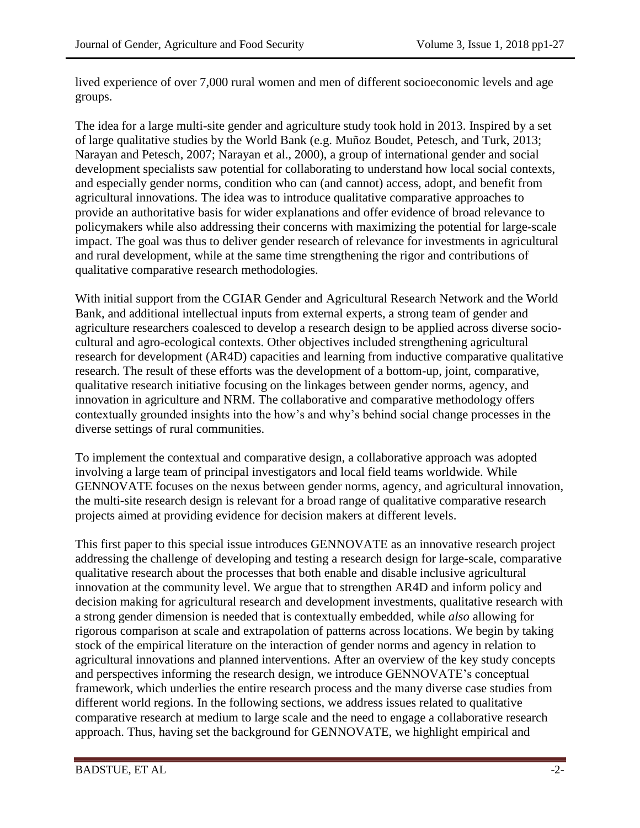lived experience of over 7,000 rural women and men of different socioeconomic levels and age groups.

The idea for a large multi-site gender and agriculture study took hold in 2013. Inspired by a set of large qualitative studies by the World Bank (e.g. Muñoz Boudet, Petesch, and Turk, 2013; Narayan and Petesch, 2007; Narayan et al., 2000), a group of international gender and social development specialists saw potential for collaborating to understand how local social contexts, and especially gender norms, condition who can (and cannot) access, adopt, and benefit from agricultural innovations. The idea was to introduce qualitative comparative approaches to provide an authoritative basis for wider explanations and offer evidence of broad relevance to policymakers while also addressing their concerns with maximizing the potential for large-scale impact. The goal was thus to deliver gender research of relevance for investments in agricultural and rural development, while at the same time strengthening the rigor and contributions of qualitative comparative research methodologies.

With initial support from the CGIAR Gender and Agricultural Research Network and the World Bank, and additional intellectual inputs from external experts, a strong team of gender and agriculture researchers coalesced to develop a research design to be applied across diverse sociocultural and agro-ecological contexts. Other objectives included strengthening agricultural research for development (AR4D) capacities and learning from inductive comparative qualitative research. The result of these efforts was the development of a bottom-up, joint, comparative, qualitative research initiative focusing on the linkages between gender norms, agency, and innovation in agriculture and NRM. The collaborative and comparative methodology offers contextually grounded insights into the how's and why's behind social change processes in the diverse settings of rural communities.

To implement the contextual and comparative design, a collaborative approach was adopted involving a large team of principal investigators and local field teams worldwide. While GENNOVATE focuses on the nexus between gender norms, agency, and agricultural innovation, the multi-site research design is relevant for a broad range of qualitative comparative research projects aimed at providing evidence for decision makers at different levels.

This first paper to this special issue introduces GENNOVATE as an innovative research project addressing the challenge of developing and testing a research design for large-scale, comparative qualitative research about the processes that both enable and disable inclusive agricultural innovation at the community level. We argue that to strengthen AR4D and inform policy and decision making for agricultural research and development investments, qualitative research with a strong gender dimension is needed that is contextually embedded, while *also* allowing for rigorous comparison at scale and extrapolation of patterns across locations. We begin by taking stock of the empirical literature on the interaction of gender norms and agency in relation to agricultural innovations and planned interventions. After an overview of the key study concepts and perspectives informing the research design, we introduce GENNOVATE's conceptual framework, which underlies the entire research process and the many diverse case studies from different world regions. In the following sections, we address issues related to qualitative comparative research at medium to large scale and the need to engage a collaborative research approach. Thus, having set the background for GENNOVATE, we highlight empirical and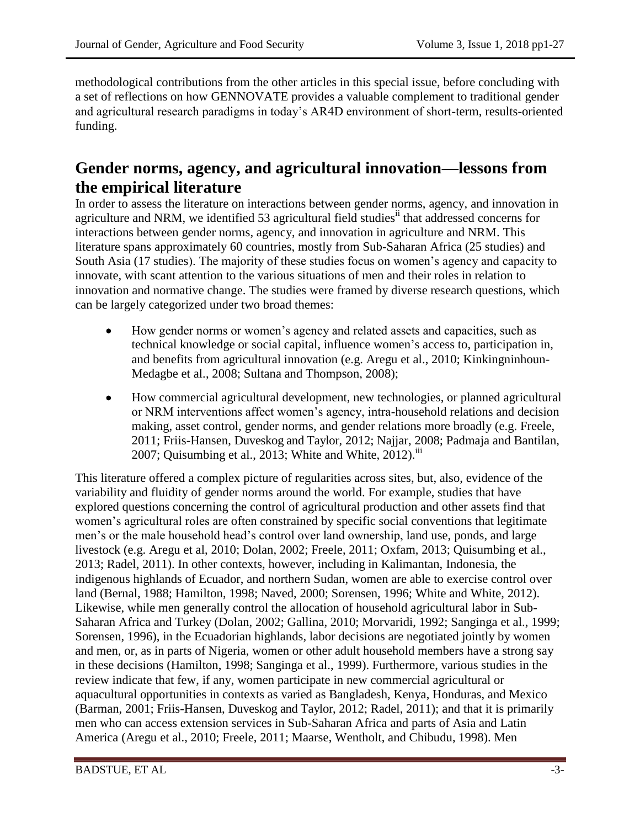methodological contributions from the other articles in this special issue, before concluding with a set of reflections on how GENNOVATE provides a valuable complement to traditional gender and agricultural research paradigms in today's AR4D environment of short-term, results-oriented funding.

## **Gender norms, agency, and agricultural innovation—lessons from the empirical literature**

In order to assess the literature on interactions between gender norms, agency, and innovation in agriculture and NRM, we identified 53 agricultural field studies<sup>ii</sup> that addressed concerns for interactions between gender norms, agency, and innovation in agriculture and NRM. This literature spans approximately 60 countries, mostly from Sub-Saharan Africa (25 studies) and South Asia (17 studies). The majority of these studies focus on women's agency and capacity to innovate, with scant attention to the various situations of men and their roles in relation to innovation and normative change. The studies were framed by diverse research questions, which can be largely categorized under two broad themes:

- How gender norms or women's agency and related assets and capacities, such as technical knowledge or social capital, influence women's access to, participation in, and benefits from agricultural innovation (e.g. Aregu et al., 2010; Kinkingninhoun-Medagbe et al., 2008; Sultana and Thompson, 2008);
- How commercial agricultural development, new technologies, or planned agricultural or NRM interventions affect women's agency, intra-household relations and decision making, asset control, gender norms, and gender relations more broadly (e.g. Freele, 2011; Friis-Hansen, Duveskog and Taylor, 2012; Najjar, 2008; Padmaja and Bantilan, 2007; Quisumbing et al., 2013; White and White, 2012).<sup>iii</sup>

This literature offered a complex picture of regularities across sites, but, also, evidence of the variability and fluidity of gender norms around the world. For example, studies that have explored questions concerning the control of agricultural production and other assets find that women's agricultural roles are often constrained by specific social conventions that legitimate men's or the male household head's control over land ownership, land use, ponds, and large livestock (e.g. Aregu et al, 2010; Dolan, 2002; Freele, 2011; Oxfam, 2013; Quisumbing et al., 2013; Radel, 2011). In other contexts, however, including in Kalimantan, Indonesia, the indigenous highlands of Ecuador, and northern Sudan, women are able to exercise control over land (Bernal, 1988; Hamilton, 1998; Naved, 2000; Sorensen, 1996; White and White, 2012). Likewise, while men generally control the allocation of household agricultural labor in Sub-Saharan Africa and Turkey (Dolan, 2002; Gallina, 2010; Morvaridi, 1992; Sanginga et al., 1999; Sorensen, 1996), in the Ecuadorian highlands, labor decisions are negotiated jointly by women and men, or, as in parts of Nigeria, women or other adult household members have a strong say in these decisions (Hamilton, 1998; Sanginga et al., 1999). Furthermore, various studies in the review indicate that few, if any, women participate in new commercial agricultural or aquacultural opportunities in contexts as varied as Bangladesh, Kenya, Honduras, and Mexico (Barman, 2001; Friis-Hansen, Duveskog and Taylor, 2012; Radel, 2011); and that it is primarily men who can access extension services in Sub-Saharan Africa and parts of Asia and Latin America (Aregu et al., 2010; Freele, 2011; Maarse, Wentholt, and Chibudu, 1998). Men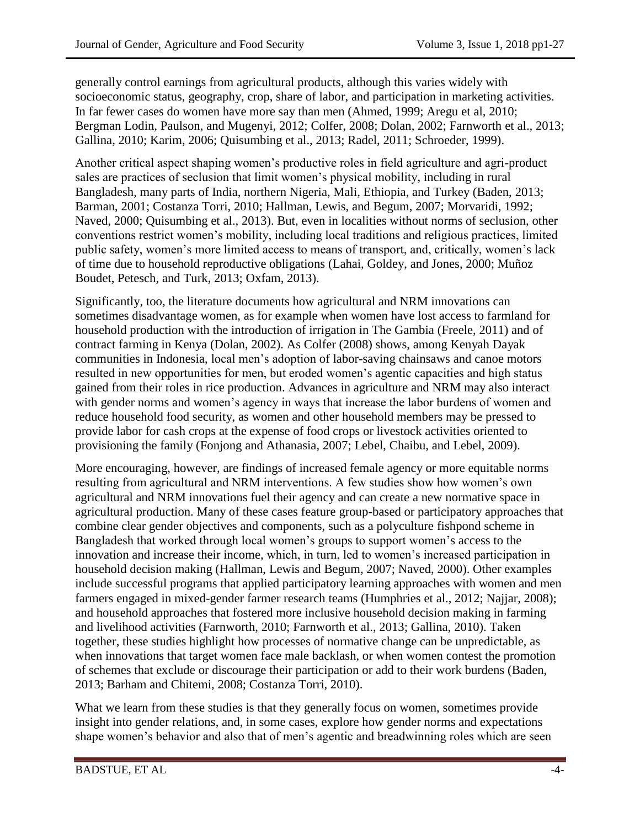generally control earnings from agricultural products, although this varies widely with socioeconomic status, geography, crop, share of labor, and participation in marketing activities. In far fewer cases do women have more say than men (Ahmed, 1999; Aregu et al, 2010; Bergman Lodin, Paulson, and Mugenyi, 2012; Colfer, 2008; Dolan, 2002; Farnworth et al., 2013; Gallina, 2010; Karim, 2006; Quisumbing et al., 2013; Radel, 2011; Schroeder, 1999).

Another critical aspect shaping women's productive roles in field agriculture and agri-product sales are practices of seclusion that limit women's physical mobility, including in rural Bangladesh, many parts of India, northern Nigeria, Mali, Ethiopia, and Turkey (Baden, 2013; Barman, 2001; Costanza Torri, 2010; Hallman, Lewis, and Begum, 2007; Morvaridi, 1992; Naved, 2000; Quisumbing et al., 2013). But, even in localities without norms of seclusion, other conventions restrict women's mobility, including local traditions and religious practices, limited public safety, women's more limited access to means of transport, and, critically, women's lack of time due to household reproductive obligations (Lahai, Goldey, and Jones, 2000; Muñoz Boudet, Petesch, and Turk, 2013; Oxfam, 2013).

Significantly, too, the literature documents how agricultural and NRM innovations can sometimes disadvantage women, as for example when women have lost access to farmland for household production with the introduction of irrigation in The Gambia (Freele, 2011) and of contract farming in Kenya (Dolan, 2002). As Colfer (2008) shows, among Kenyah Dayak communities in Indonesia, local men's adoption of labor-saving chainsaws and canoe motors resulted in new opportunities for men, but eroded women's agentic capacities and high status gained from their roles in rice production. Advances in agriculture and NRM may also interact with gender norms and women's agency in ways that increase the labor burdens of women and reduce household food security, as women and other household members may be pressed to provide labor for cash crops at the expense of food crops or livestock activities oriented to provisioning the family (Fonjong and Athanasia, 2007; Lebel, Chaibu, and Lebel, 2009).

More encouraging, however, are findings of increased female agency or more equitable norms resulting from agricultural and NRM interventions. A few studies show how women's own agricultural and NRM innovations fuel their agency and can create a new normative space in agricultural production. Many of these cases feature group-based or participatory approaches that combine clear gender objectives and components, such as a polyculture fishpond scheme in Bangladesh that worked through local women's groups to support women's access to the innovation and increase their income, which, in turn, led to women's increased participation in household decision making (Hallman, Lewis and Begum, 2007; Naved, 2000). Other examples include successful programs that applied participatory learning approaches with women and men farmers engaged in mixed-gender farmer research teams (Humphries et al., 2012; Najjar, 2008); and household approaches that fostered more inclusive household decision making in farming and livelihood activities (Farnworth, 2010; Farnworth et al., 2013; Gallina, 2010). Taken together, these studies highlight how processes of normative change can be unpredictable, as when innovations that target women face male backlash, or when women contest the promotion of schemes that exclude or discourage their participation or add to their work burdens (Baden, 2013; Barham and Chitemi, 2008; Costanza Torri, 2010).

What we learn from these studies is that they generally focus on women, sometimes provide insight into gender relations, and, in some cases, explore how gender norms and expectations shape women's behavior and also that of men's agentic and breadwinning roles which are seen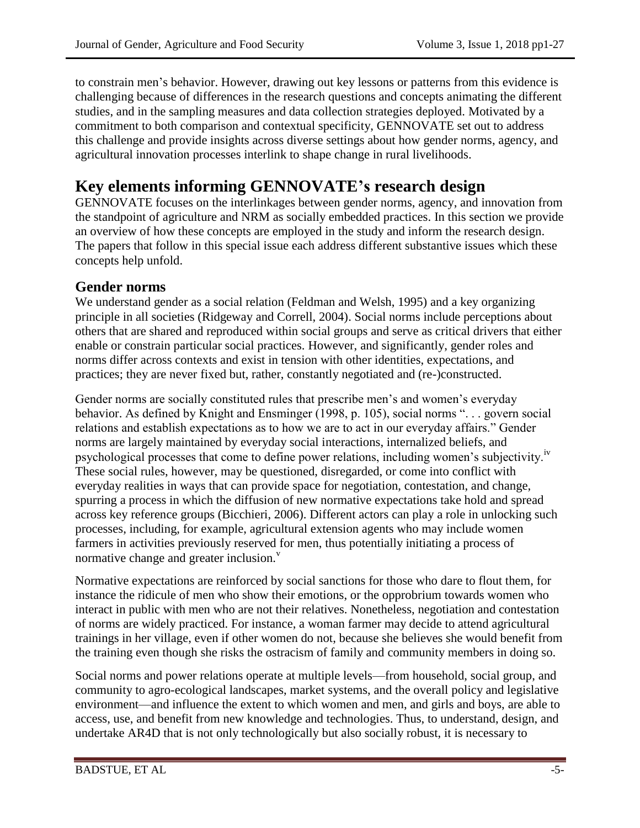to constrain men's behavior. However, drawing out key lessons or patterns from this evidence is challenging because of differences in the research questions and concepts animating the different studies, and in the sampling measures and data collection strategies deployed. Motivated by a commitment to both comparison and contextual specificity, GENNOVATE set out to address this challenge and provide insights across diverse settings about how gender norms, agency, and agricultural innovation processes interlink to shape change in rural livelihoods.

# **Key elements informing GENNOVATE's research design**

GENNOVATE focuses on the interlinkages between gender norms, agency, and innovation from the standpoint of agriculture and NRM as socially embedded practices. In this section we provide an overview of how these concepts are employed in the study and inform the research design. The papers that follow in this special issue each address different substantive issues which these concepts help unfold.

### **Gender norms**

We understand gender as a social relation (Feldman and Welsh, 1995) and a key organizing principle in all societies (Ridgeway and Correll, 2004). Social norms include perceptions about others that are shared and reproduced within social groups and serve as critical drivers that either enable or constrain particular social practices. However, and significantly, gender roles and norms differ across contexts and exist in tension with other identities, expectations, and practices; they are never fixed but, rather, constantly negotiated and (re-)constructed.

Gender norms are socially constituted rules that prescribe men's and women's everyday behavior. As defined by Knight and Ensminger (1998, p. 105), social norms ". . . govern social relations and establish expectations as to how we are to act in our everyday affairs." Gender norms are largely maintained by everyday social interactions, internalized beliefs, and psychological processes that come to define power relations, including women's subjectivity.<sup>iv</sup> These social rules, however, may be questioned, disregarded, or come into conflict with everyday realities in ways that can provide space for negotiation, contestation, and change, spurring a process in which the diffusion of new normative expectations take hold and spread across key reference groups (Bicchieri, 2006). Different actors can play a role in unlocking such processes, including, for example, agricultural extension agents who may include women farmers in activities previously reserved for men, thus potentially initiating a process of normative change and greater inclusion.<sup>v</sup>

Normative expectations are reinforced by social sanctions for those who dare to flout them, for instance the ridicule of men who show their emotions, or the opprobrium towards women who interact in public with men who are not their relatives. Nonetheless, negotiation and contestation of norms are widely practiced. For instance, a woman farmer may decide to attend agricultural trainings in her village, even if other women do not, because she believes she would benefit from the training even though she risks the ostracism of family and community members in doing so.

Social norms and power relations operate at multiple levels—from household, social group, and community to agro-ecological landscapes, market systems, and the overall policy and legislative environment—and influence the extent to which women and men, and girls and boys, are able to access, use, and benefit from new knowledge and technologies. Thus, to understand, design, and undertake AR4D that is not only technologically but also socially robust, it is necessary to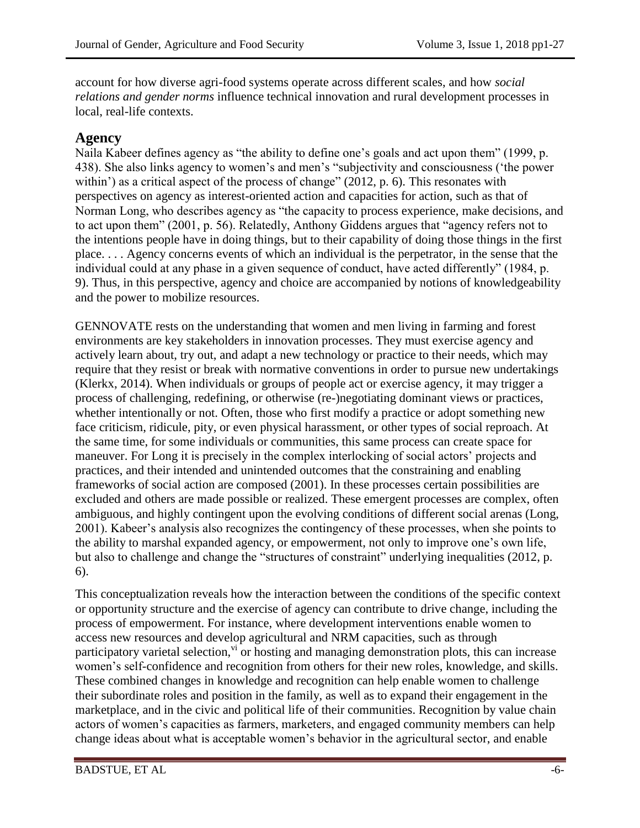account for how diverse agri-food systems operate across different scales, and how *social relations and gender norms* influence technical innovation and rural development processes in local, real-life contexts.

### **Agency**

Naila Kabeer defines agency as "the ability to define one's goals and act upon them" (1999, p. 438). She also links agency to women's and men's "subjectivity and consciousness ('the power within') as a critical aspect of the process of change" (2012, p. 6). This resonates with perspectives on agency as interest-oriented action and capacities for action, such as that of Norman Long, who describes agency as "the capacity to process experience, make decisions, and to act upon them" (2001, p. 56). Relatedly, Anthony Giddens argues that "agency refers not to the intentions people have in doing things, but to their capability of doing those things in the first place. . . . Agency concerns events of which an individual is the perpetrator, in the sense that the individual could at any phase in a given sequence of conduct, have acted differently" (1984, p. 9). Thus, in this perspective, agency and choice are accompanied by notions of knowledgeability and the power to mobilize resources.

GENNOVATE rests on the understanding that women and men living in farming and forest environments are key stakeholders in innovation processes. They must exercise agency and actively learn about, try out, and adapt a new technology or practice to their needs, which may require that they resist or break with normative conventions in order to pursue new undertakings (Klerkx, 2014). When individuals or groups of people act or exercise agency, it may trigger a process of challenging, redefining, or otherwise (re-)negotiating dominant views or practices, whether intentionally or not. Often, those who first modify a practice or adopt something new face criticism, ridicule, pity, or even physical harassment, or other types of social reproach. At the same time, for some individuals or communities, this same process can create space for maneuver. For Long it is precisely in the complex interlocking of social actors' projects and practices, and their intended and unintended outcomes that the constraining and enabling frameworks of social action are composed (2001). In these processes certain possibilities are excluded and others are made possible or realized. These emergent processes are complex, often ambiguous, and highly contingent upon the evolving conditions of different social arenas (Long, 2001). Kabeer's analysis also recognizes the contingency of these processes, when she points to the ability to marshal expanded agency, or empowerment, not only to improve one's own life, but also to challenge and change the "structures of constraint" underlying inequalities (2012, p. 6).

This conceptualization reveals how the interaction between the conditions of the specific context or opportunity structure and the exercise of agency can contribute to drive change, including the process of empowerment. For instance, where development interventions enable women to access new resources and develop agricultural and NRM capacities, such as through participatory varietal selection,  $v_i$  or hosting and managing demonstration plots, this can increase women's self-confidence and recognition from others for their new roles, knowledge, and skills. These combined changes in knowledge and recognition can help enable women to challenge their subordinate roles and position in the family, as well as to expand their engagement in the marketplace, and in the civic and political life of their communities. Recognition by value chain actors of women's capacities as farmers, marketers, and engaged community members can help change ideas about what is acceptable women's behavior in the agricultural sector, and enable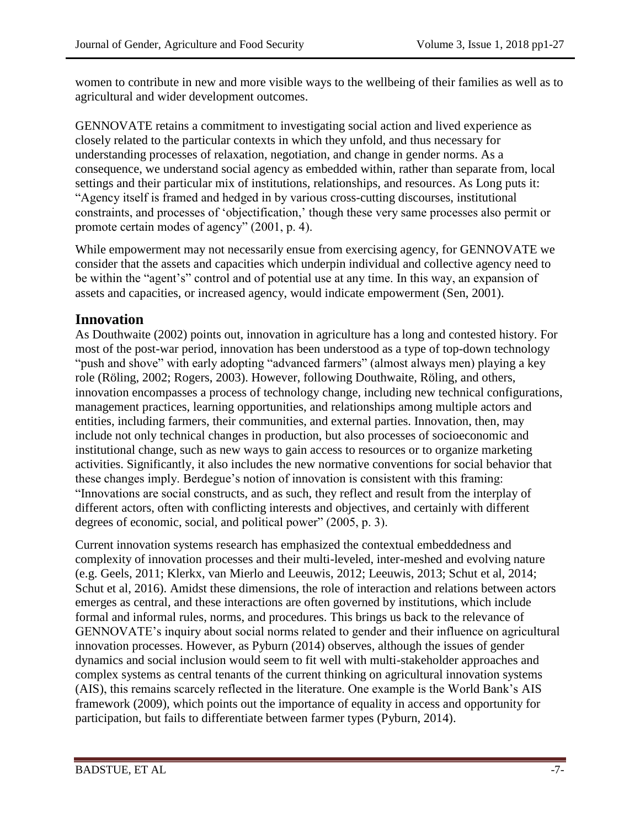women to contribute in new and more visible ways to the wellbeing of their families as well as to agricultural and wider development outcomes.

GENNOVATE retains a commitment to investigating social action and lived experience as closely related to the particular contexts in which they unfold, and thus necessary for understanding processes of relaxation, negotiation, and change in gender norms. As a consequence, we understand social agency as embedded within, rather than separate from, local settings and their particular mix of institutions, relationships, and resources. As Long puts it: "Agency itself is framed and hedged in by various cross-cutting discourses, institutional constraints, and processes of 'objectification,' though these very same processes also permit or promote certain modes of agency" (2001, p. 4).

While empowerment may not necessarily ensue from exercising agency, for GENNOVATE we consider that the assets and capacities which underpin individual and collective agency need to be within the "agent's" control and of potential use at any time. In this way, an expansion of assets and capacities, or increased agency, would indicate empowerment (Sen, 2001).

### **Innovation**

As Douthwaite (2002) points out, innovation in agriculture has a long and contested history. For most of the post-war period, innovation has been understood as a type of top-down technology "push and shove" with early adopting "advanced farmers" (almost always men) playing a key role (Röling, 2002; Rogers, 2003). However, following Douthwaite, Röling, and others, innovation encompasses a process of technology change, including new technical configurations, management practices, learning opportunities, and relationships among multiple actors and entities, including farmers, their communities, and external parties. Innovation, then, may include not only technical changes in production, but also processes of socioeconomic and institutional change, such as new ways to gain access to resources or to organize marketing activities. Significantly, it also includes the new normative conventions for social behavior that these changes imply. Berdegue's notion of innovation is consistent with this framing: "Innovations are social constructs, and as such, they reflect and result from the interplay of different actors, often with conflicting interests and objectives, and certainly with different degrees of economic, social, and political power" (2005, p. 3).

Current innovation systems research has emphasized the contextual embeddedness and complexity of innovation processes and their multi-leveled, inter-meshed and evolving nature (e.g. Geels, 2011; Klerkx, van Mierlo and Leeuwis, 2012; Leeuwis, 2013; Schut et al, 2014; Schut et al, 2016). Amidst these dimensions, the role of interaction and relations between actors emerges as central, and these interactions are often governed by institutions, which include formal and informal rules, norms, and procedures. This brings us back to the relevance of GENNOVATE's inquiry about social norms related to gender and their influence on agricultural innovation processes. However, as Pyburn (2014) observes, although the issues of gender dynamics and social inclusion would seem to fit well with multi-stakeholder approaches and complex systems as central tenants of the current thinking on agricultural innovation systems (AIS), this remains scarcely reflected in the literature. One example is the World Bank's AIS framework (2009), which points out the importance of equality in access and opportunity for participation, but fails to differentiate between farmer types (Pyburn, 2014).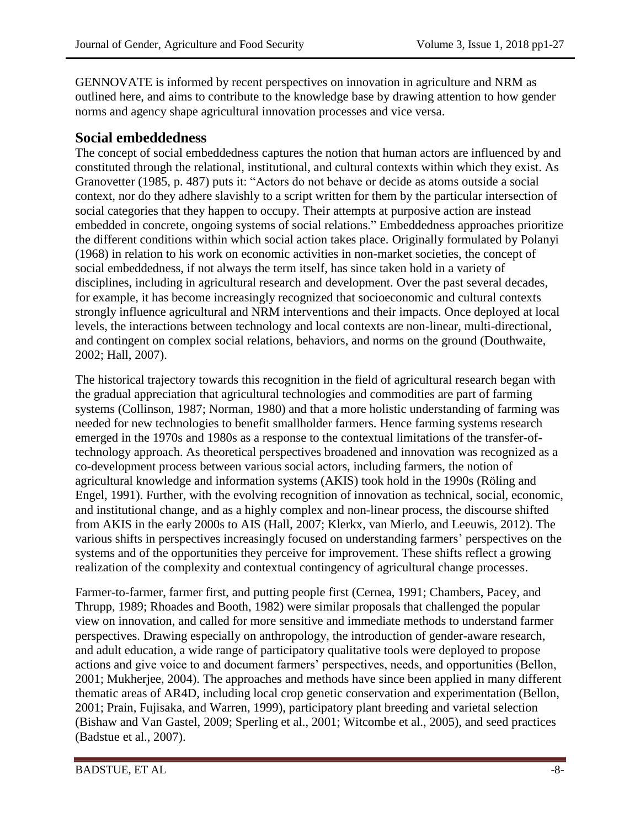GENNOVATE is informed by recent perspectives on innovation in agriculture and NRM as outlined here, and aims to contribute to the knowledge base by drawing attention to how gender norms and agency shape agricultural innovation processes and vice versa.

#### **Social embeddedness**

The concept of social embeddedness captures the notion that human actors are influenced by and constituted through the relational, institutional, and cultural contexts within which they exist. As Granovetter (1985, p. 487) puts it: "Actors do not behave or decide as atoms outside a social context, nor do they adhere slavishly to a script written for them by the particular intersection of social categories that they happen to occupy. Their attempts at purposive action are instead embedded in concrete, ongoing systems of social relations." Embeddedness approaches prioritize the different conditions within which social action takes place. Originally formulated by Polanyi (1968) in relation to his work on economic activities in non-market societies, the concept of social embeddedness, if not always the term itself, has since taken hold in a variety of disciplines, including in agricultural research and development. Over the past several decades, for example, it has become increasingly recognized that socioeconomic and cultural contexts strongly influence agricultural and NRM interventions and their impacts. Once deployed at local levels, the interactions between technology and local contexts are non-linear, multi-directional, and contingent on complex social relations, behaviors, and norms on the ground (Douthwaite, 2002; Hall, 2007).

The historical trajectory towards this recognition in the field of agricultural research began with the gradual appreciation that agricultural technologies and commodities are part of farming systems (Collinson, 1987; Norman, 1980) and that a more holistic understanding of farming was needed for new technologies to benefit smallholder farmers. Hence farming systems research emerged in the 1970s and 1980s as a response to the contextual limitations of the transfer-oftechnology approach. As theoretical perspectives broadened and innovation was recognized as a co-development process between various social actors, including farmers, the notion of agricultural knowledge and information systems (AKIS) took hold in the 1990s (Röling and Engel, 1991). Further, with the evolving recognition of innovation as technical, social, economic, and institutional change, and as a highly complex and non-linear process, the discourse shifted from AKIS in the early 2000s to AIS (Hall, 2007; Klerkx, van Mierlo, and Leeuwis, 2012). The various shifts in perspectives increasingly focused on understanding farmers' perspectives on the systems and of the opportunities they perceive for improvement. These shifts reflect a growing realization of the complexity and contextual contingency of agricultural change processes.

Farmer-to-farmer, farmer first, and putting people first (Cernea, 1991; Chambers, Pacey, and Thrupp, 1989; Rhoades and Booth, 1982) were similar proposals that challenged the popular view on innovation, and called for more sensitive and immediate methods to understand farmer perspectives. Drawing especially on anthropology, the introduction of gender-aware research, and adult education, a wide range of participatory qualitative tools were deployed to propose actions and give voice to and document farmers' perspectives, needs, and opportunities (Bellon, 2001; Mukherjee, 2004). The approaches and methods have since been applied in many different thematic areas of AR4D, including local crop genetic conservation and experimentation (Bellon, 2001; Prain, Fujisaka, and Warren, 1999), participatory plant breeding and varietal selection (Bishaw and Van Gastel, 2009; Sperling et al., 2001; Witcombe et al., 2005), and seed practices (Badstue et al., 2007).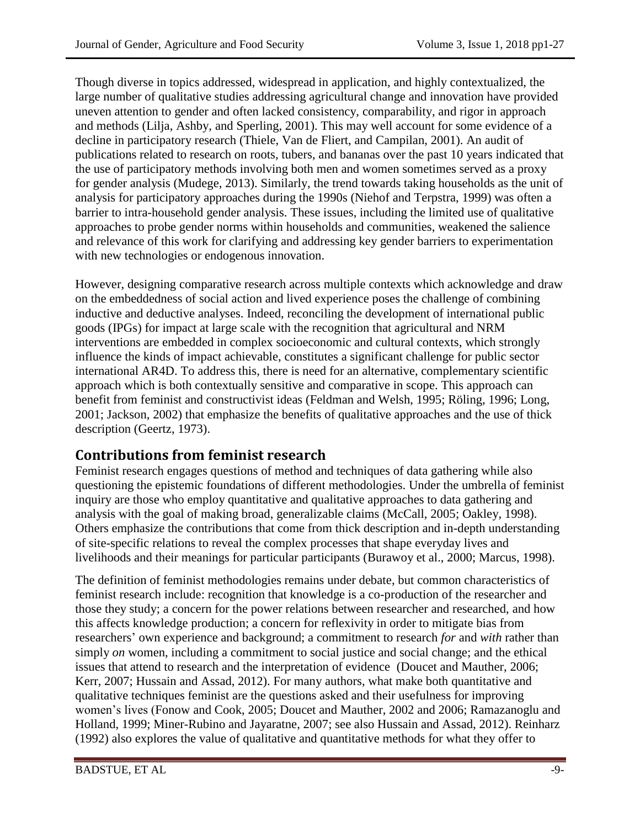Though diverse in topics addressed, widespread in application, and highly contextualized, the large number of qualitative studies addressing agricultural change and innovation have provided uneven attention to gender and often lacked consistency, comparability, and rigor in approach and methods (Lilja, Ashby, and Sperling, 2001). This may well account for some evidence of a decline in participatory research (Thiele, Van de Fliert, and Campilan, 2001). An audit of publications related to research on roots, tubers, and bananas over the past 10 years indicated that the use of participatory methods involving both men and women sometimes served as a proxy for gender analysis (Mudege, 2013). Similarly, the trend towards taking households as the unit of analysis for participatory approaches during the 1990s (Niehof and Terpstra, 1999) was often a barrier to intra-household gender analysis. These issues, including the limited use of qualitative approaches to probe gender norms within households and communities, weakened the salience and relevance of this work for clarifying and addressing key gender barriers to experimentation with new technologies or endogenous innovation.

However, designing comparative research across multiple contexts which acknowledge and draw on the embeddedness of social action and lived experience poses the challenge of combining inductive and deductive analyses. Indeed, reconciling the development of international public goods (IPGs) for impact at large scale with the recognition that agricultural and NRM interventions are embedded in complex socioeconomic and cultural contexts, which strongly influence the kinds of impact achievable, constitutes a significant challenge for public sector international AR4D. To address this, there is need for an alternative, complementary scientific approach which is both contextually sensitive and comparative in scope. This approach can benefit from feminist and constructivist ideas (Feldman and Welsh, 1995; Röling, 1996; Long, 2001; Jackson, 2002) that emphasize the benefits of qualitative approaches and the use of thick description (Geertz, 1973).

### **Contributions from feminist research**

Feminist research engages questions of method and techniques of data gathering while also questioning the epistemic foundations of different methodologies. Under the umbrella of feminist inquiry are those who employ quantitative and qualitative approaches to data gathering and analysis with the goal of making broad, generalizable claims (McCall, 2005; Oakley, 1998). Others emphasize the contributions that come from thick description and in-depth understanding of site-specific relations to reveal the complex processes that shape everyday lives and livelihoods and their meanings for particular participants (Burawoy et al., 2000; Marcus, 1998).

The definition of feminist methodologies remains under debate, but common characteristics of feminist research include: recognition that knowledge is a co-production of the researcher and those they study; a concern for the power relations between researcher and researched, and how this affects knowledge production; a concern for reflexivity in order to mitigate bias from researchers' own experience and background; a commitment to research *for* and *with* rather than simply *on* women, including a commitment to social justice and social change; and the ethical issues that attend to research and the interpretation of evidence (Doucet and Mauther, 2006; Kerr, 2007; Hussain and Assad, 2012). For many authors, what make both quantitative and qualitative techniques feminist are the questions asked and their usefulness for improving women's lives (Fonow and Cook, 2005; Doucet and Mauther, 2002 and 2006; Ramazanoglu and Holland, 1999; Miner-Rubino and Jayaratne, 2007; see also Hussain and Assad, 2012). Reinharz (1992) also explores the value of qualitative and quantitative methods for what they offer to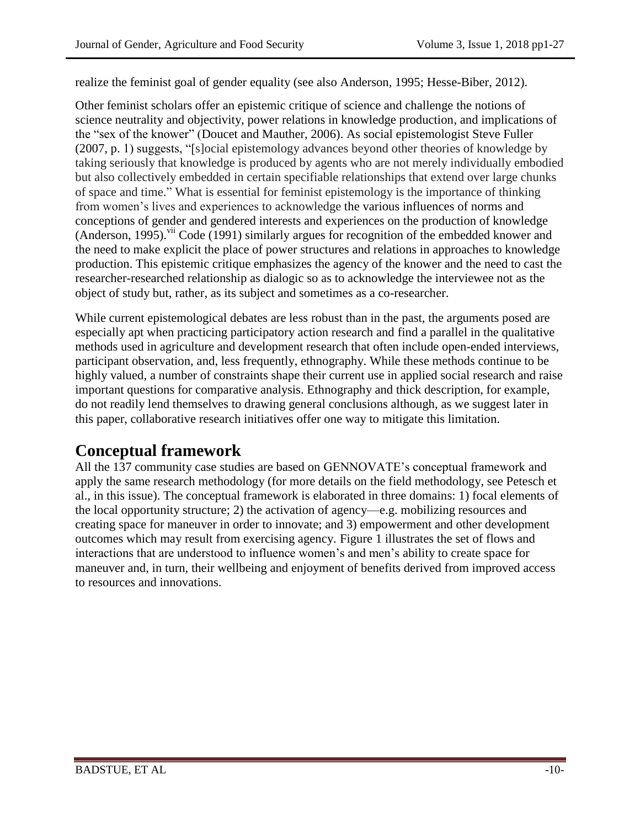realize the feminist goal of gender equality (see also Anderson, 1995; Hesse-Biber, 2012).

Other feminist scholars offer an epistemic critique of science and challenge the notions of science neutrality and objectivity, power relations in knowledge production, and implications of the "sex of the knower" (Doucet and Mauther, 2006). As social epistemologist Steve Fuller (2007, p. 1) suggests, "[s]ocial epistemology advances beyond other theories of knowledge by taking seriously that knowledge is produced by agents who are not merely individually embodied but also collectively embedded in certain specifiable relationships that extend over large chunks of space and time." What is essential for feminist epistemology is the importance of thinking from women's lives and experiences to acknowledge the various influences of norms and conceptions of gender and gendered interests and experiences on the production of knowledge (Anderson, 1995). vii Code (1991) similarly argues for recognition of the embedded knower and the need to make explicit the place of power structures and relations in approaches to knowledge production. This epistemic critique emphasizes the agency of the knower and the need to cast the researcher-researched relationship as dialogic so as to acknowledge the interviewee not as the object of study but, rather, as its subject and sometimes as a co-researcher.

While current epistemological debates are less robust than in the past, the arguments posed are especially apt when practicing participatory action research and find a parallel in the qualitative methods used in agriculture and development research that often include open-ended interviews, participant observation, and, less frequently, ethnography. While these methods continue to be highly valued, a number of constraints shape their current use in applied social research and raise important questions for comparative analysis. Ethnography and thick description, for example, do not readily lend themselves to drawing general conclusions although, as we suggest later in this paper, collaborative research initiatives offer one way to mitigate this limitation.

### **Conceptual framework**

All the 137 community case studies are based on GENNOVATE's conceptual framework and apply the same research methodology (for more details on the field methodology, see Petesch et al., in this issue). The conceptual framework is elaborated in three domains: 1) focal elements of the local opportunity structure; 2) the activation of agency—e.g. mobilizing resources and creating space for maneuver in order to innovate; and 3) empowerment and other development outcomes which may result from exercising agency. Figure 1 illustrates the set of flows and interactions that are understood to influence women's and men's ability to create space for maneuver and, in turn, their wellbeing and enjoyment of benefits derived from improved access to resources and innovations.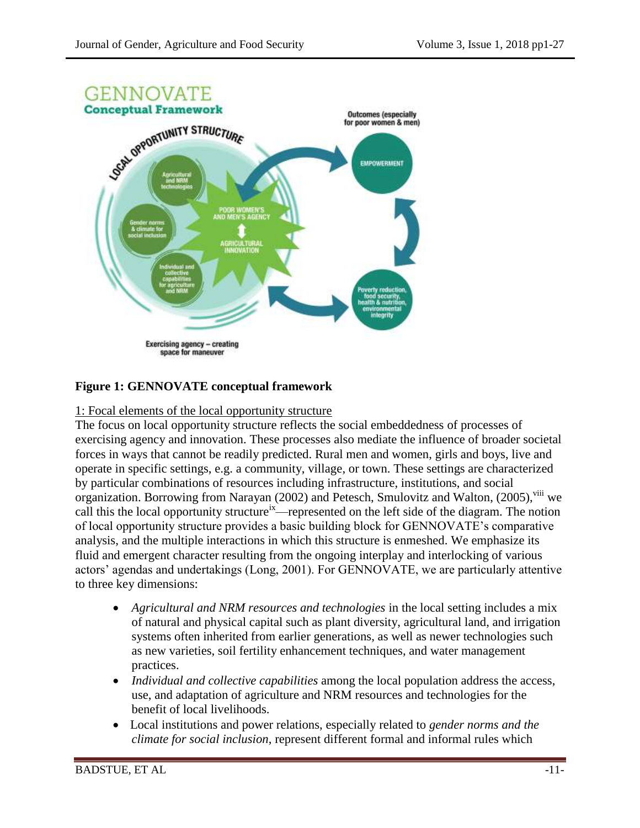

#### **Figure 1: GENNOVATE conceptual framework**

#### 1: Focal elements of the local opportunity structure

The focus on local opportunity structure reflects the social embeddedness of processes of exercising agency and innovation. These processes also mediate the influence of broader societal forces in ways that cannot be readily predicted. Rural men and women, girls and boys, live and operate in specific settings, e.g. a community, village, or town. These settings are characterized by particular combinations of resources including infrastructure, institutions, and social organization. Borrowing from Narayan (2002) and Petesch, Smulovitz and Walton, (2005), vill we call this the local opportunity structure<sup>ix</sup>—represented on the left side of the diagram. The notion of local opportunity structure provides a basic building block for GENNOVATE's comparative analysis, and the multiple interactions in which this structure is enmeshed. We emphasize its fluid and emergent character resulting from the ongoing interplay and interlocking of various actors' agendas and undertakings (Long, 2001). For GENNOVATE, we are particularly attentive to three key dimensions:

- *Agricultural and NRM resources and technologies* in the local setting includes a mix of natural and physical capital such as plant diversity, agricultural land, and irrigation systems often inherited from earlier generations, as well as newer technologies such as new varieties, soil fertility enhancement techniques, and water management practices.
- *Individual and collective capabilities* among the local population address the access, use, and adaptation of agriculture and NRM resources and technologies for the benefit of local livelihoods.
- Local institutions and power relations, especially related to *gender norms and the climate for social inclusion*, represent different formal and informal rules which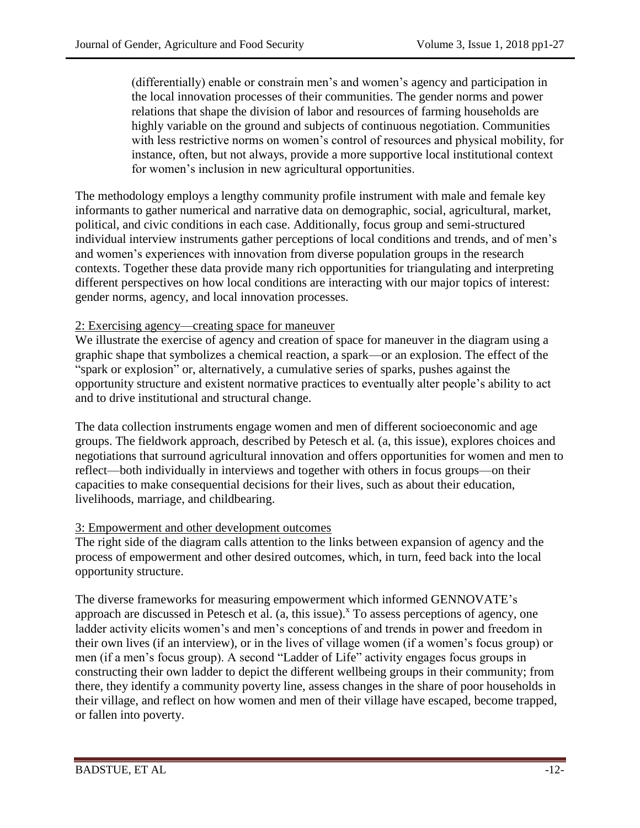(differentially) enable or constrain men's and women's agency and participation in the local innovation processes of their communities. The gender norms and power relations that shape the division of labor and resources of farming households are highly variable on the ground and subjects of continuous negotiation. Communities with less restrictive norms on women's control of resources and physical mobility, for instance, often, but not always, provide a more supportive local institutional context for women's inclusion in new agricultural opportunities.

The methodology employs a lengthy community profile instrument with male and female key informants to gather numerical and narrative data on demographic, social, agricultural, market, political, and civic conditions in each case. Additionally, focus group and semi-structured individual interview instruments gather perceptions of local conditions and trends, and of men's and women's experiences with innovation from diverse population groups in the research contexts. Together these data provide many rich opportunities for triangulating and interpreting different perspectives on how local conditions are interacting with our major topics of interest: gender norms, agency, and local innovation processes.

#### 2: Exercising agency—creating space for maneuver

We illustrate the exercise of agency and creation of space for maneuver in the diagram using a graphic shape that symbolizes a chemical reaction, a spark—or an explosion. The effect of the "spark or explosion" or, alternatively, a cumulative series of sparks, pushes against the opportunity structure and existent normative practices to eventually alter people's ability to act and to drive institutional and structural change.

The data collection instruments engage women and men of different socioeconomic and age groups. The fieldwork approach, described by Petesch et al*.* (a, this issue), explores choices and negotiations that surround agricultural innovation and offers opportunities for women and men to reflect—both individually in interviews and together with others in focus groups—on their capacities to make consequential decisions for their lives, such as about their education, livelihoods, marriage, and childbearing.

#### 3: Empowerment and other development outcomes

The right side of the diagram calls attention to the links between expansion of agency and the process of empowerment and other desired outcomes, which, in turn, feed back into the local opportunity structure.

The diverse frameworks for measuring empowerment which informed GENNOVATE's approach are discussed in Petesch et al. (a, this issue).<sup>x</sup> To assess perceptions of agency, one ladder activity elicits women's and men's conceptions of and trends in power and freedom in their own lives (if an interview), or in the lives of village women (if a women's focus group) or men (if a men's focus group). A second "Ladder of Life" activity engages focus groups in constructing their own ladder to depict the different wellbeing groups in their community; from there, they identify a community poverty line, assess changes in the share of poor households in their village, and reflect on how women and men of their village have escaped, become trapped, or fallen into poverty.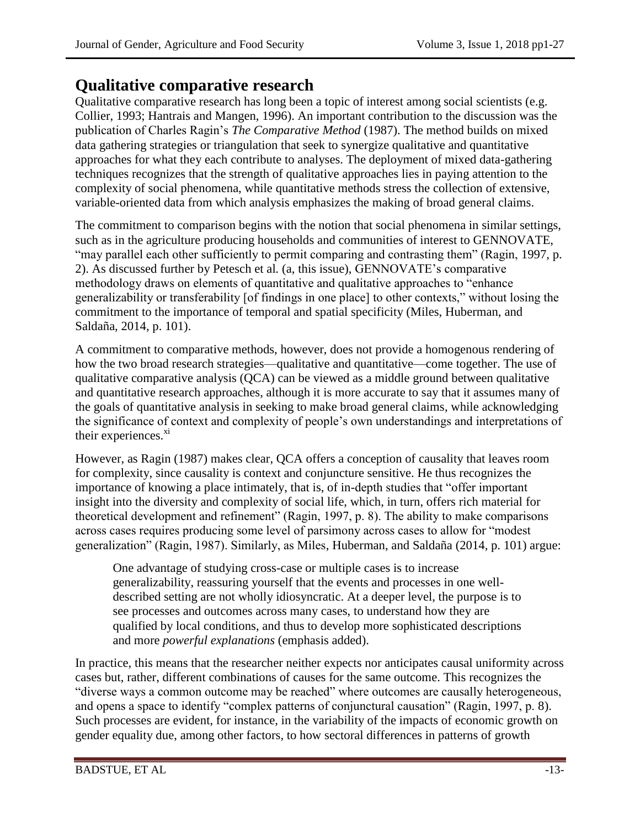## **Qualitative comparative research**

Qualitative comparative research has long been a topic of interest among social scientists (e.g. Collier, 1993; Hantrais and Mangen, 1996). An important contribution to the discussion was the publication of Charles Ragin's *The Comparative Method* (1987). The method builds on mixed data gathering strategies or triangulation that seek to synergize qualitative and quantitative approaches for what they each contribute to analyses. The deployment of mixed data-gathering techniques recognizes that the strength of qualitative approaches lies in paying attention to the complexity of social phenomena, while quantitative methods stress the collection of extensive, variable-oriented data from which analysis emphasizes the making of broad general claims.

The commitment to comparison begins with the notion that social phenomena in similar settings, such as in the agriculture producing households and communities of interest to GENNOVATE, "may parallel each other sufficiently to permit comparing and contrasting them" (Ragin, 1997, p. 2). As discussed further by Petesch et al*.* (a, this issue), GENNOVATE's comparative methodology draws on elements of quantitative and qualitative approaches to "enhance generalizability or transferability [of findings in one place] to other contexts," without losing the commitment to the importance of temporal and spatial specificity (Miles, Huberman, and Saldaña, 2014, p. 101).

A commitment to comparative methods, however, does not provide a homogenous rendering of how the two broad research strategies—qualitative and quantitative—come together. The use of qualitative comparative analysis (QCA) can be viewed as a middle ground between qualitative and quantitative research approaches, although it is more accurate to say that it assumes many of the goals of quantitative analysis in seeking to make broad general claims, while acknowledging the significance of context and complexity of people's own understandings and interpretations of their experiences.<sup>xi</sup>

However, as Ragin (1987) makes clear, QCA offers a conception of causality that leaves room for complexity, since causality is context and conjuncture sensitive. He thus recognizes the importance of knowing a place intimately, that is, of in-depth studies that "offer important insight into the diversity and complexity of social life, which, in turn, offers rich material for theoretical development and refinement" (Ragin, 1997, p. 8). The ability to make comparisons across cases requires producing some level of parsimony across cases to allow for "modest generalization" (Ragin, 1987). Similarly, as Miles, Huberman, and Saldaña (2014, p. 101) argue:

One advantage of studying cross-case or multiple cases is to increase generalizability, reassuring yourself that the events and processes in one welldescribed setting are not wholly idiosyncratic. At a deeper level, the purpose is to see processes and outcomes across many cases, to understand how they are qualified by local conditions, and thus to develop more sophisticated descriptions and more *powerful explanations* (emphasis added).

In practice, this means that the researcher neither expects nor anticipates causal uniformity across cases but, rather, different combinations of causes for the same outcome. This recognizes the "diverse ways a common outcome may be reached" where outcomes are causally heterogeneous, and opens a space to identify "complex patterns of conjunctural causation" (Ragin, 1997, p. 8). Such processes are evident, for instance, in the variability of the impacts of economic growth on gender equality due, among other factors, to how sectoral differences in patterns of growth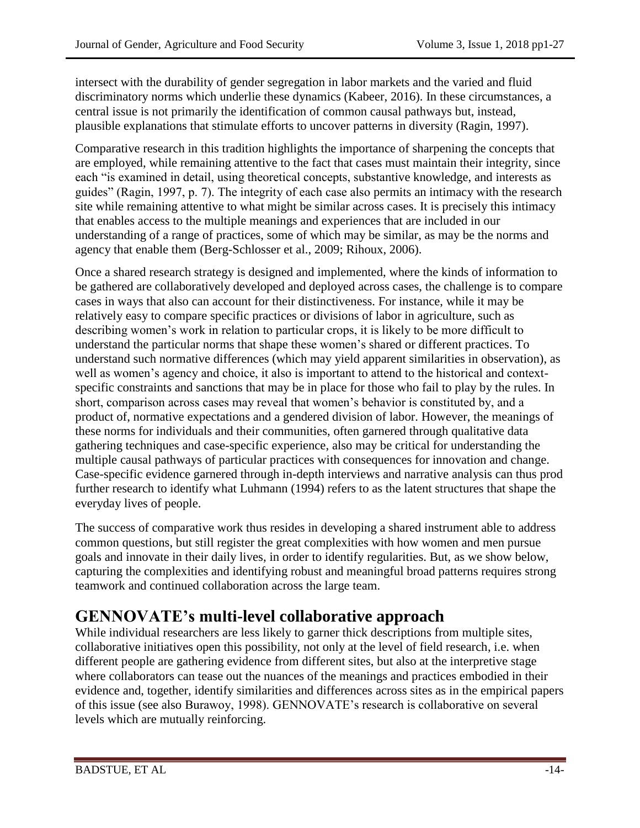intersect with the durability of gender segregation in labor markets and the varied and fluid discriminatory norms which underlie these dynamics (Kabeer, 2016). In these circumstances, a central issue is not primarily the identification of common causal pathways but, instead, plausible explanations that stimulate efforts to uncover patterns in diversity (Ragin, 1997).

Comparative research in this tradition highlights the importance of sharpening the concepts that are employed, while remaining attentive to the fact that cases must maintain their integrity, since each "is examined in detail, using theoretical concepts, substantive knowledge, and interests as guides" (Ragin, 1997, p. 7). The integrity of each case also permits an intimacy with the research site while remaining attentive to what might be similar across cases. It is precisely this intimacy that enables access to the multiple meanings and experiences that are included in our understanding of a range of practices, some of which may be similar, as may be the norms and agency that enable them (Berg-Schlosser et al., 2009; Rihoux, 2006).

Once a shared research strategy is designed and implemented, where the kinds of information to be gathered are collaboratively developed and deployed across cases, the challenge is to compare cases in ways that also can account for their distinctiveness. For instance, while it may be relatively easy to compare specific practices or divisions of labor in agriculture, such as describing women's work in relation to particular crops, it is likely to be more difficult to understand the particular norms that shape these women's shared or different practices. To understand such normative differences (which may yield apparent similarities in observation), as well as women's agency and choice, it also is important to attend to the historical and contextspecific constraints and sanctions that may be in place for those who fail to play by the rules. In short, comparison across cases may reveal that women's behavior is constituted by, and a product of, normative expectations and a gendered division of labor. However, the meanings of these norms for individuals and their communities, often garnered through qualitative data gathering techniques and case-specific experience, also may be critical for understanding the multiple causal pathways of particular practices with consequences for innovation and change. Case-specific evidence garnered through in-depth interviews and narrative analysis can thus prod further research to identify what Luhmann (1994) refers to as the latent structures that shape the everyday lives of people.

The success of comparative work thus resides in developing a shared instrument able to address common questions, but still register the great complexities with how women and men pursue goals and innovate in their daily lives, in order to identify regularities. But, as we show below, capturing the complexities and identifying robust and meaningful broad patterns requires strong teamwork and continued collaboration across the large team.

# **GENNOVATE's multi-level collaborative approach**

While individual researchers are less likely to garner thick descriptions from multiple sites, collaborative initiatives open this possibility, not only at the level of field research, i.e. when different people are gathering evidence from different sites, but also at the interpretive stage where collaborators can tease out the nuances of the meanings and practices embodied in their evidence and, together, identify similarities and differences across sites as in the empirical papers of this issue (see also Burawoy, 1998). GENNOVATE's research is collaborative on several levels which are mutually reinforcing.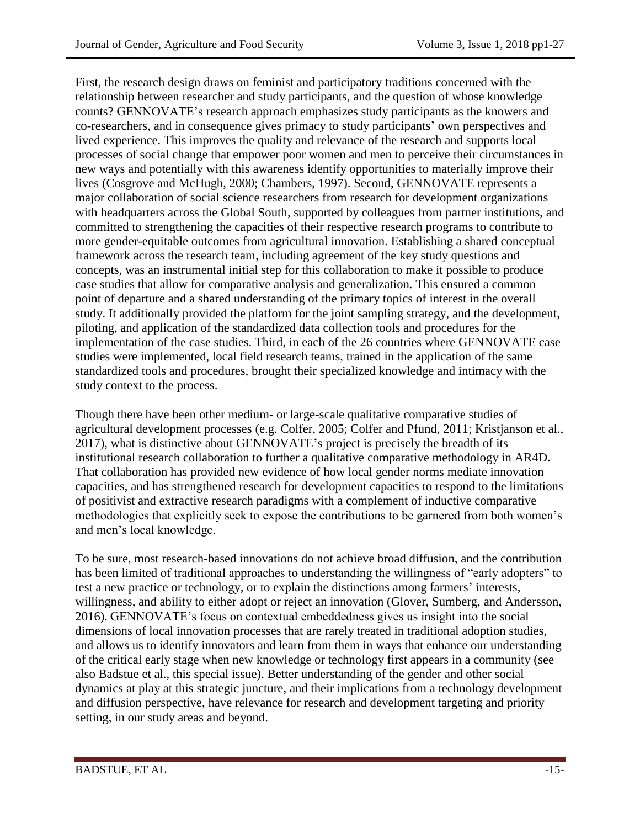First, the research design draws on feminist and participatory traditions concerned with the relationship between researcher and study participants, and the question of whose knowledge counts? GENNOVATE's research approach emphasizes study participants as the knowers and co-researchers, and in consequence gives primacy to study participants' own perspectives and lived experience. This improves the quality and relevance of the research and supports local processes of social change that empower poor women and men to perceive their circumstances in new ways and potentially with this awareness identify opportunities to materially improve their lives (Cosgrove and McHugh, 2000; Chambers, 1997). Second, GENNOVATE represents a major collaboration of social science researchers from research for development organizations with headquarters across the Global South, supported by colleagues from partner institutions, and committed to strengthening the capacities of their respective research programs to contribute to more gender-equitable outcomes from agricultural innovation. Establishing a shared conceptual framework across the research team, including agreement of the key study questions and concepts, was an instrumental initial step for this collaboration to make it possible to produce case studies that allow for comparative analysis and generalization. This ensured a common point of departure and a shared understanding of the primary topics of interest in the overall study. It additionally provided the platform for the joint sampling strategy, and the development, piloting, and application of the standardized data collection tools and procedures for the implementation of the case studies. Third, in each of the 26 countries where GENNOVATE case studies were implemented, local field research teams, trained in the application of the same standardized tools and procedures, brought their specialized knowledge and intimacy with the study context to the process.

Though there have been other medium- or large-scale qualitative comparative studies of agricultural development processes (e.g. Colfer, 2005; Colfer and Pfund, 2011; Kristjanson et al., 2017), what is distinctive about GENNOVATE's project is precisely the breadth of its institutional research collaboration to further a qualitative comparative methodology in AR4D. That collaboration has provided new evidence of how local gender norms mediate innovation capacities, and has strengthened research for development capacities to respond to the limitations of positivist and extractive research paradigms with a complement of inductive comparative methodologies that explicitly seek to expose the contributions to be garnered from both women's and men's local knowledge.

To be sure, most research-based innovations do not achieve broad diffusion, and the contribution has been limited of traditional approaches to understanding the willingness of "early adopters" to test a new practice or technology, or to explain the distinctions among farmers' interests, willingness, and ability to either adopt or reject an innovation (Glover, Sumberg, and Andersson, 2016). GENNOVATE's focus on contextual embeddedness gives us insight into the social dimensions of local innovation processes that are rarely treated in traditional adoption studies, and allows us to identify innovators and learn from them in ways that enhance our understanding of the critical early stage when new knowledge or technology first appears in a community (see also Badstue et al., this special issue). Better understanding of the gender and other social dynamics at play at this strategic juncture, and their implications from a technology development and diffusion perspective, have relevance for research and development targeting and priority setting, in our study areas and beyond.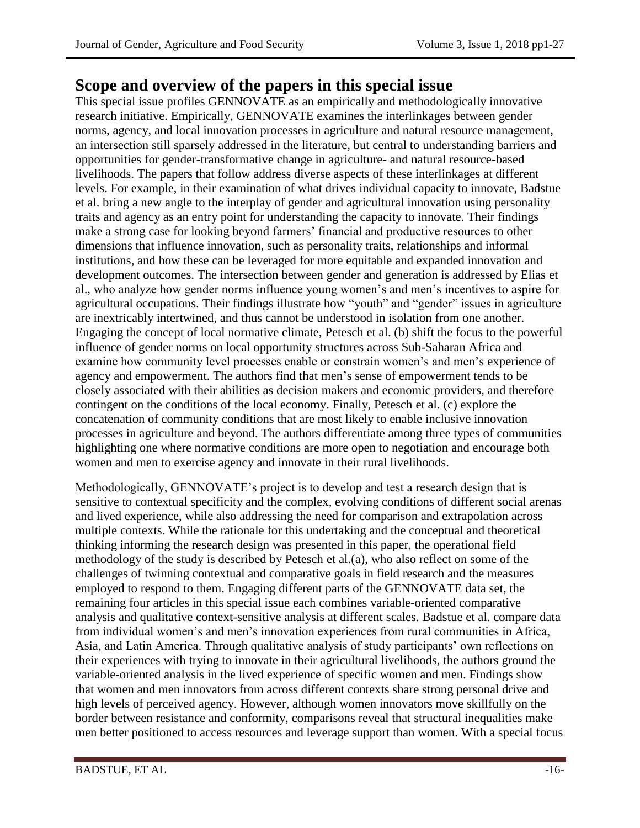## **Scope and overview of the papers in this special issue**

This special issue profiles GENNOVATE as an empirically and methodologically innovative research initiative. Empirically, GENNOVATE examines the interlinkages between gender norms, agency, and local innovation processes in agriculture and natural resource management, an intersection still sparsely addressed in the literature, but central to understanding barriers and opportunities for gender-transformative change in agriculture- and natural resource-based livelihoods. The papers that follow address diverse aspects of these interlinkages at different levels. For example, in their examination of what drives individual capacity to innovate, Badstue et al. bring a new angle to the interplay of gender and agricultural innovation using personality traits and agency as an entry point for understanding the capacity to innovate. Their findings make a strong case for looking beyond farmers' financial and productive resources to other dimensions that influence innovation, such as personality traits, relationships and informal institutions, and how these can be leveraged for more equitable and expanded innovation and development outcomes. The intersection between gender and generation is addressed by Elias et al., who analyze how gender norms influence young women's and men's incentives to aspire for agricultural occupations. Their findings illustrate how "youth" and "gender" issues in agriculture are inextricably intertwined, and thus cannot be understood in isolation from one another. Engaging the concept of local normative climate, Petesch et al. (b) shift the focus to the powerful influence of gender norms on local opportunity structures across Sub-Saharan Africa and examine how community level processes enable or constrain women's and men's experience of agency and empowerment. The authors find that men's sense of empowerment tends to be closely associated with their abilities as decision makers and economic providers, and therefore contingent on the conditions of the local economy. Finally, Petesch et al. (c) explore the concatenation of community conditions that are most likely to enable inclusive innovation processes in agriculture and beyond. The authors differentiate among three types of communities highlighting one where normative conditions are more open to negotiation and encourage both women and men to exercise agency and innovate in their rural livelihoods.

Methodologically, GENNOVATE's project is to develop and test a research design that is sensitive to contextual specificity and the complex, evolving conditions of different social arenas and lived experience, while also addressing the need for comparison and extrapolation across multiple contexts. While the rationale for this undertaking and the conceptual and theoretical thinking informing the research design was presented in this paper, the operational field methodology of the study is described by Petesch et al.(a), who also reflect on some of the challenges of twinning contextual and comparative goals in field research and the measures employed to respond to them. Engaging different parts of the GENNOVATE data set, the remaining four articles in this special issue each combines variable-oriented comparative analysis and qualitative context-sensitive analysis at different scales. Badstue et al. compare data from individual women's and men's innovation experiences from rural communities in Africa, Asia, and Latin America. Through qualitative analysis of study participants' own reflections on their experiences with trying to innovate in their agricultural livelihoods, the authors ground the variable-oriented analysis in the lived experience of specific women and men. Findings show that women and men innovators from across different contexts share strong personal drive and high levels of perceived agency. However, although women innovators move skillfully on the border between resistance and conformity, comparisons reveal that structural inequalities make men better positioned to access resources and leverage support than women. With a special focus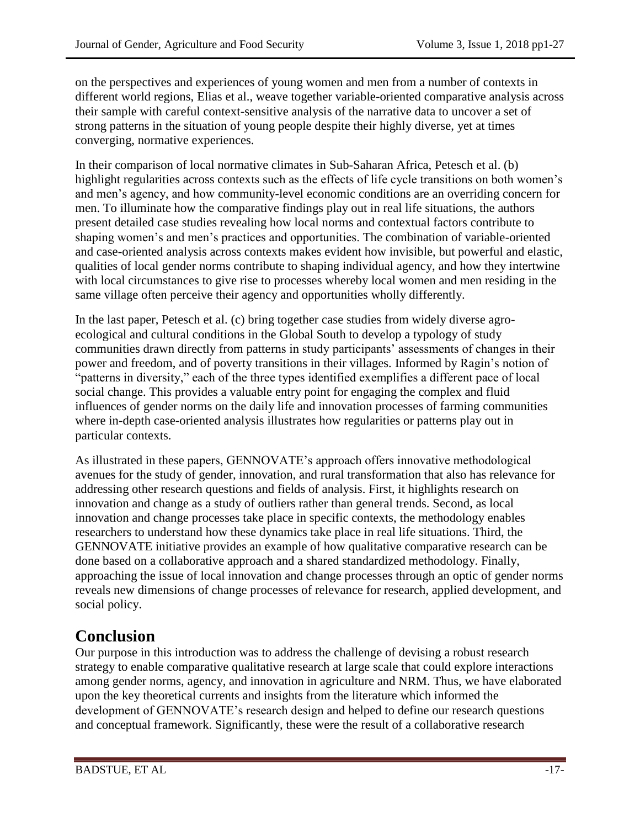on the perspectives and experiences of young women and men from a number of contexts in different world regions, Elias et al., weave together variable-oriented comparative analysis across their sample with careful context-sensitive analysis of the narrative data to uncover a set of strong patterns in the situation of young people despite their highly diverse, yet at times converging, normative experiences.

In their comparison of local normative climates in Sub-Saharan Africa, Petesch et al. (b) highlight regularities across contexts such as the effects of life cycle transitions on both women's and men's agency, and how community-level economic conditions are an overriding concern for men. To illuminate how the comparative findings play out in real life situations, the authors present detailed case studies revealing how local norms and contextual factors contribute to shaping women's and men's practices and opportunities. The combination of variable-oriented and case-oriented analysis across contexts makes evident how invisible, but powerful and elastic, qualities of local gender norms contribute to shaping individual agency, and how they intertwine with local circumstances to give rise to processes whereby local women and men residing in the same village often perceive their agency and opportunities wholly differently.

In the last paper, Petesch et al. (c) bring together case studies from widely diverse agroecological and cultural conditions in the Global South to develop a typology of study communities drawn directly from patterns in study participants' assessments of changes in their power and freedom, and of poverty transitions in their villages. Informed by Ragin's notion of "patterns in diversity," each of the three types identified exemplifies a different pace of local social change. This provides a valuable entry point for engaging the complex and fluid influences of gender norms on the daily life and innovation processes of farming communities where in-depth case-oriented analysis illustrates how regularities or patterns play out in particular contexts.

As illustrated in these papers, GENNOVATE's approach offers innovative methodological avenues for the study of gender, innovation, and rural transformation that also has relevance for addressing other research questions and fields of analysis. First, it highlights research on innovation and change as a study of outliers rather than general trends. Second, as local innovation and change processes take place in specific contexts, the methodology enables researchers to understand how these dynamics take place in real life situations. Third, the GENNOVATE initiative provides an example of how qualitative comparative research can be done based on a collaborative approach and a shared standardized methodology. Finally, approaching the issue of local innovation and change processes through an optic of gender norms reveals new dimensions of change processes of relevance for research, applied development, and social policy.

## **Conclusion**

Our purpose in this introduction was to address the challenge of devising a robust research strategy to enable comparative qualitative research at large scale that could explore interactions among gender norms, agency, and innovation in agriculture and NRM. Thus, we have elaborated upon the key theoretical currents and insights from the literature which informed the development of GENNOVATE's research design and helped to define our research questions and conceptual framework. Significantly, these were the result of a collaborative research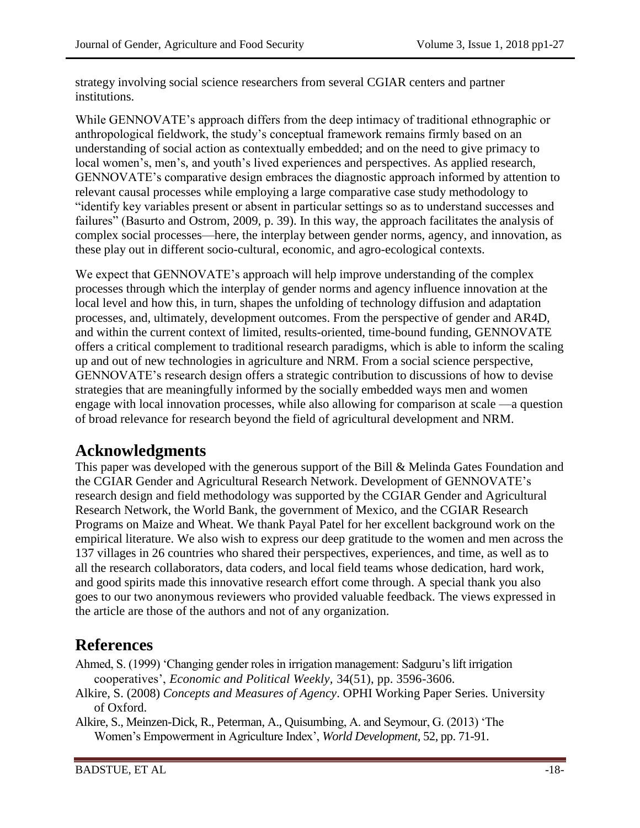strategy involving social science researchers from several CGIAR centers and partner institutions.

While GENNOVATE's approach differs from the deep intimacy of traditional ethnographic or anthropological fieldwork, the study's conceptual framework remains firmly based on an understanding of social action as contextually embedded; and on the need to give primacy to local women's, men's, and youth's lived experiences and perspectives. As applied research, GENNOVATE's comparative design embraces the diagnostic approach informed by attention to relevant causal processes while employing a large comparative case study methodology to "identify key variables present or absent in particular settings so as to understand successes and failures" (Basurto and Ostrom, 2009, p. 39). In this way, the approach facilitates the analysis of complex social processes—here, the interplay between gender norms, agency, and innovation, as these play out in different socio-cultural, economic, and agro-ecological contexts.

We expect that GENNOVATE's approach will help improve understanding of the complex processes through which the interplay of gender norms and agency influence innovation at the local level and how this, in turn, shapes the unfolding of technology diffusion and adaptation processes, and, ultimately, development outcomes. From the perspective of gender and AR4D, and within the current context of limited, results-oriented, time-bound funding, GENNOVATE offers a critical complement to traditional research paradigms, which is able to inform the scaling up and out of new technologies in agriculture and NRM. From a social science perspective, GENNOVATE's research design offers a strategic contribution to discussions of how to devise strategies that are meaningfully informed by the socially embedded ways men and women engage with local innovation processes, while also allowing for comparison at scale —a question of broad relevance for research beyond the field of agricultural development and NRM.

### **Acknowledgments**

This paper was developed with the generous support of the Bill & Melinda Gates Foundation and the CGIAR Gender and Agricultural Research Network. Development of GENNOVATE's research design and field methodology was supported by the CGIAR Gender and Agricultural Research Network, the World Bank, the government of Mexico, and the CGIAR Research Programs on Maize and Wheat. We thank Payal Patel for her excellent background work on the empirical literature. We also wish to express our deep gratitude to the women and men across the 137 villages in 26 countries who shared their perspectives, experiences, and time, as well as to all the research collaborators, data coders, and local field teams whose dedication, hard work, and good spirits made this innovative research effort come through. A special thank you also goes to our two anonymous reviewers who provided valuable feedback. The views expressed in the article are those of the authors and not of any organization.

### **References**

Ahmed, S. (1999) 'Changing gender roles in irrigation management: Sadguru's lift irrigation cooperatives', *Economic and Political Weekly,* 34(51), pp. 3596-3606.

Alkire, S. (2008) *Concepts and Measures of Agency*. OPHI Working Paper Series*.* University of Oxford.

Alkire, S., Meinzen-Dick, R., Peterman, A., Quisumbing, A. and Seymour, G. (2013) 'The Women's Empowerment in Agriculture Index', *World Development,* 52, pp. 71-91.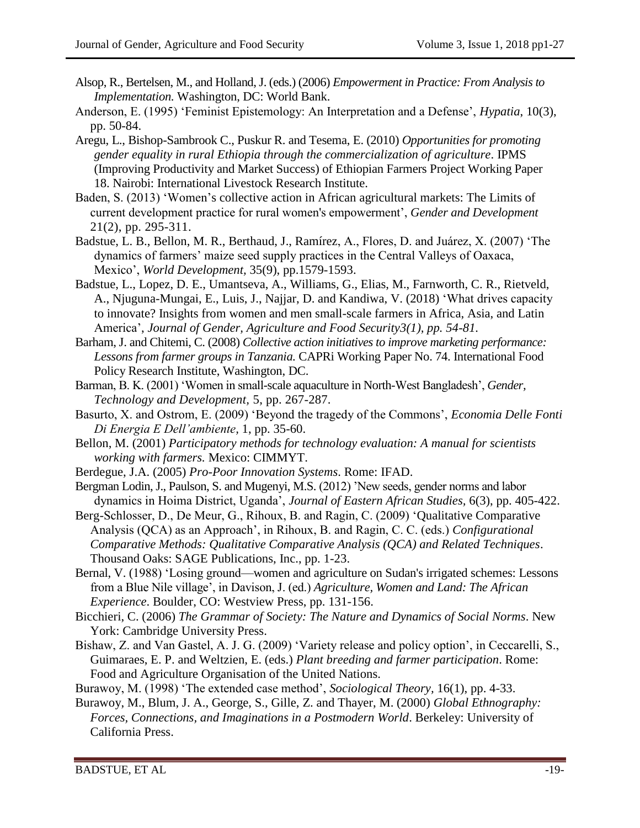- Alsop, R., Bertelsen, M., and Holland, J. (eds.) (2006) *Empowerment in Practice: From Analysis to Implementation.* Washington, DC: World Bank.
- Anderson, E. (1995) 'Feminist Epistemology: An Interpretation and a Defense', *Hypatia*, 10(3), pp. 50-84.
- Aregu, L., Bishop-Sambrook C., Puskur R. and Tesema, E. (2010) *Opportunities for promoting gender equality in rural Ethiopia through the commercialization of agriculture*. IPMS (Improving Productivity and Market Success) of Ethiopian Farmers Project Working Paper 18. Nairobi: International Livestock Research Institute.
- Baden, S. (2013) 'Women's collective action in African agricultural markets: The Limits of current development practice for rural women's empowerment', *Gender and Development*  21(2), pp. 295-311.
- Badstue, L. B., Bellon, M. R., Berthaud, J., Ramírez, A., Flores, D. and Juárez, X. (2007) 'The dynamics of farmers' maize seed supply practices in the Central Valleys of Oaxaca, Mexico', *World Development,* 35(9), pp.1579-1593.
- Badstue, L., Lopez, D. E., Umantseva, A., Williams, G., Elias, M., Farnworth, C. R., Rietveld, A., Njuguna-Mungai, E., Luis, J., Najjar, D. and Kandiwa, V. (2018) 'What drives capacity to innovate? Insights from women and men small-scale farmers in Africa, Asia, and Latin America', *Journal of Gender, Agriculture and Food Security3(1), pp. 54-81.*
- Barham, J. and Chitemi, C. (2008) *Collective action initiatives to improve marketing performance: Lessons from farmer groups in Tanzania.* CAPRi Working Paper No. 74. International Food Policy Research Institute, Washington, DC.
- Barman, B. K. (2001) 'Women in small-scale aquaculture in North-West Bangladesh', *Gender, Technology and Development,* 5, pp. 267-287.
- Basurto, X. and Ostrom, E. (2009) 'Beyond the tragedy of the Commons', *Economia Delle Fonti Di Energia E Dell'ambiente,* 1, pp. 35-60.
- Bellon, M. (2001) *Participatory methods for technology evaluation: A manual for scientists working with farmers.* Mexico: CIMMYT.
- Berdegue, J.A. (2005) *Pro-Poor Innovation Systems*. Rome: IFAD.
- Bergman Lodin, J., Paulson, S. and Mugenyi, M.S. (2012) 'New seeds, gender norms and labor dynamics in Hoima District, Uganda', *Journal of Eastern African Studies,* 6(3), pp. 405-422.
- Berg-Schlosser, D., De Meur, G., Rihoux, B. and Ragin, C. (2009) 'Qualitative Comparative Analysis (QCA) as an Approach', in Rihoux, B. and Ragin, C. C. (eds.) *Configurational Comparative Methods: Qualitative Comparative Analysis (QCA) and Related Techniques*. Thousand Oaks: SAGE Publications, Inc., pp. 1-23.
- Bernal, V. (1988) 'Losing ground—women and agriculture on Sudan's irrigated schemes: Lessons from a Blue Nile village', in Davison, J. (ed.) *Agriculture, Women and Land: The African Experience*. Boulder, CO: Westview Press, pp. 131-156.
- Bicchieri, C. (2006) *The Grammar of Society: The Nature and Dynamics of Social Norms*. New York: Cambridge University Press.
- Bishaw, Z. and Van Gastel, A. J. G. (2009) 'Variety release and policy option', in Ceccarelli, S., Guimaraes, E. P. and Weltzien, E. (eds.) *Plant breeding and farmer participation*. Rome: Food and Agriculture Organisation of the United Nations.
- Burawoy, M. (1998) 'The extended case method', *Sociological Theory,* 16(1), pp. 4-33.
- Burawoy, M., Blum, J. A., George, S., Gille, Z. and Thayer, M. (2000) *Global Ethnography: Forces, Connections, and Imaginations in a Postmodern World*. Berkeley: University of California Press.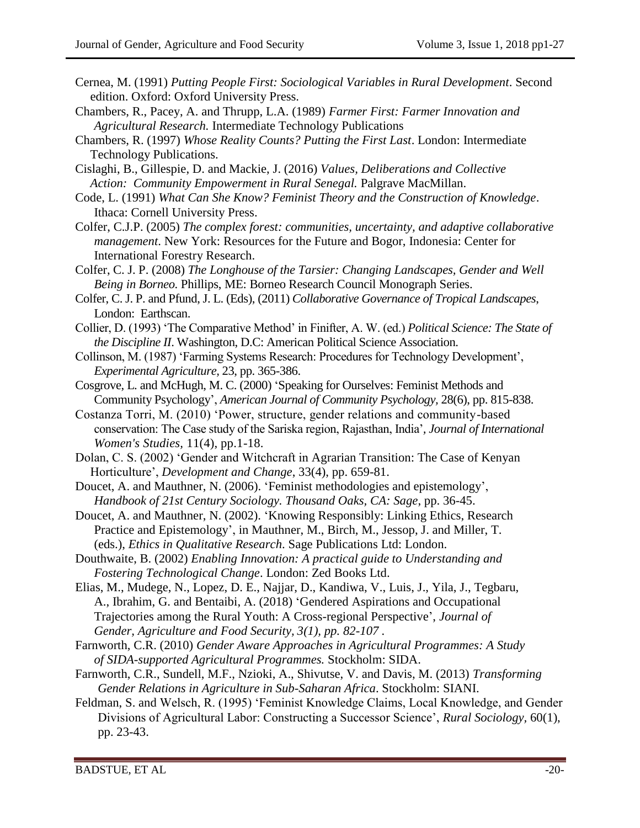- Cernea, M. (1991) *Putting People First: Sociological Variables in Rural Development*. Second edition. Oxford: Oxford University Press.
- Chambers, R., Pacey, A. and Thrupp, L.A. (1989) *Farmer First: Farmer Innovation and Agricultural Research.* Intermediate Technology Publications
- Chambers, R. (1997) *Whose Reality Counts? Putting the First Last*. London: Intermediate Technology Publications.
- Cislaghi, B., Gillespie, D. and Mackie, J. (2016) *Values, Deliberations and Collective Action: Community Empowerment in Rural Senegal.* Palgrave MacMillan.
- Code, L. (1991) *What Can She Know? Feminist Theory and the Construction of Knowledge*. Ithaca: Cornell University Press.
- Colfer, C.J.P. (2005) *The complex forest: communities, uncertainty, and adaptive collaborative management*. New York: Resources for the Future and Bogor, Indonesia: Center for International Forestry Research.
- Colfer, C. J. P. (2008) *The Longhouse of the Tarsier: Changing Landscapes, Gender and Well Being in Borneo.* Phillips, ME: Borneo Research Council Monograph Series.
- Colfer, C. J. P. and Pfund, J. L. (Eds), (2011) *Collaborative Governance of Tropical Landscapes*, London: Earthscan.
- Collier, D. (1993) 'The Comparative Method' in Finifter, A. W. (ed.) *Political Science: The State of the Discipline II*. Washington, D.C: American Political Science Association.
- Collinson, M. (1987) 'Farming Systems Research: Procedures for Technology Development', *Experimental Agriculture,* 23, pp. 365-386.
- Cosgrove, L. and McHugh, M. C. (2000) 'Speaking for Ourselves: Feminist Methods and Community Psychology', *American Journal of Community Psychology,* 28(6), pp. 815-838.
- Costanza Torri, M. (2010) 'Power, structure, gender relations and community-based conservation: The Case study of the Sariska region, Rajasthan, India'*, Journal of International Women's Studies,* 11(4), pp.1-18.
- Dolan, C. S. (2002) 'Gender and Witchcraft in Agrarian Transition: The Case of Kenyan Horticulture', *Development and Change*, 33(4), pp. 659-81.
- Doucet, A. and Mauthner, N. (2006). 'Feminist methodologies and epistemology', *Handbook of 21st Century Sociology. Thousand Oaks, CA: Sage*, pp. 36-45.
- Doucet, A. and Mauthner, N. (2002). 'Knowing Responsibly: Linking Ethics, Research Practice and Epistemology', in Mauthner, M., Birch, M., Jessop, J. and Miller, T. (eds.), *Ethics in Qualitative Research*. Sage Publications Ltd: London.
- Douthwaite, B. (2002) *Enabling Innovation: A practical guide to Understanding and Fostering Technological Change*. London: Zed Books Ltd.
- Elias, M., Mudege, N., Lopez, D. E., Najjar, D., Kandiwa, V., Luis, J., Yila, J., Tegbaru, A., Ibrahim, G. and Bentaibi, A. (2018) 'Gendered Aspirations and Occupational Trajectories among the Rural Youth: A Cross-regional Perspective', *Journal of Gender, Agriculture and Food Security, 3(1), pp. 82-107 .*
- Farnworth, C.R. (2010) *Gender Aware Approaches in Agricultural Programmes: A Study of SIDA-supported Agricultural Programmes.* Stockholm: SIDA.
- Farnworth, C.R., Sundell, M.F., Nzioki, A., Shivutse, V. and Davis, M. (2013) *Transforming Gender Relations in Agriculture in Sub-Saharan Africa*. Stockholm: SIANI.
- Feldman, S. and Welsch, R. (1995) 'Feminist Knowledge Claims, Local Knowledge, and Gender Divisions of Agricultural Labor: Constructing a Successor Science', *Rural Sociology,* 60(1), pp. 23-43.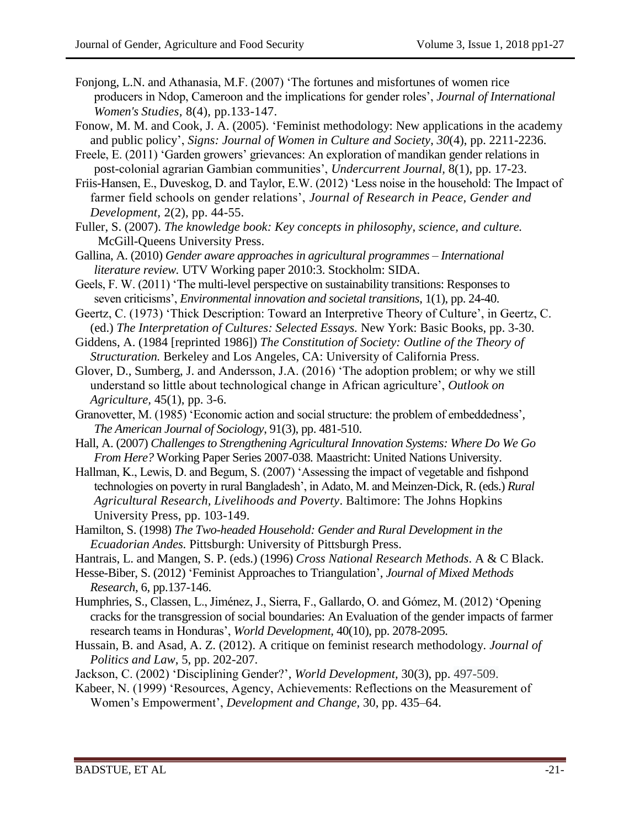- Fonjong, L.N. and Athanasia, M.F. (2007) 'The fortunes and misfortunes of women rice producers in Ndop, Cameroon and the implications for gender roles', *Journal of International Women's Studies,* 8(4), pp.133-147.
- Fonow, M. M. and Cook, J. A. (2005). 'Feminist methodology: New applications in the academy and public policy', *Signs: Journal of Women in Culture and Society*, *30*(4), pp. 2211-2236.
- Freele, E. (2011) 'Garden growers' grievances: An exploration of mandikan gender relations in post-colonial agrarian Gambian communities', *Undercurrent Journal,* 8(1)*,* pp. 17-23.
- Friis-Hansen, E., Duveskog, D. and Taylor, E.W. (2012) 'Less noise in the household: The Impact of farmer field schools on gender relations', *Journal of Research in Peace, Gender and Development,* 2(2), pp. 44-55.
- Fuller, S. (2007). *The knowledge book: Key concepts in philosophy, science, and culture.*  McGill-Queens University Press.
- Gallina, A. (2010) *Gender aware approaches in agricultural programmes – International literature review.* UTV Working paper 2010:3. Stockholm: SIDA.
- Geels, F. W. (2011) 'The multi-level perspective on sustainability transitions: Responses to seven criticisms', *Environmental innovation and societal transitions*, 1(1), pp. 24-40.
- Geertz, C. (1973) 'Thick Description: Toward an Interpretive Theory of Culture', in Geertz, C. (ed.) *The Interpretation of Cultures: Selected Essays.* New York: Basic Books, pp. 3-30.
- Giddens, A. (1984 [reprinted 1986]) *The Constitution of Society: Outline of the Theory of Structuration.* Berkeley and Los Angeles, CA: University of California Press.
- Glover, D., Sumberg, J. and Andersson, J.A. (2016) 'The adoption problem; or why we still understand so little about technological change in African agriculture', *Outlook on Agriculture,* 45(1), pp. 3-6.
- Granovetter, M. (1985) 'Economic action and social structure: the problem of embeddedness', *The American Journal of Sociology*, 91(3), pp. 481-510.
- Hall, A. (2007) *Challenges to Strengthening Agricultural Innovation Systems: Where Do We Go From Here?* Working Paper Series 2007-038*.* Maastricht: United Nations University.
- Hallman, K., Lewis, D. and Begum, S. (2007) 'Assessing the impact of vegetable and fishpond technologies on poverty in rural Bangladesh', in Adato, M. and Meinzen-Dick, R. (eds.) *Rural Agricultural Research, Livelihoods and Poverty*. Baltimore: The Johns Hopkins University Press, pp. 103-149.
- Hamilton, S. (1998) *The Two-headed Household: Gender and Rural Development in the Ecuadorian Andes.* Pittsburgh: University of Pittsburgh Press.
- Hantrais, L. and Mangen, S. P. (eds.) (1996) *Cross National Research Methods*. A & C Black.
- Hesse-Biber, S. (2012) 'Feminist Approaches to Triangulation', *Journal of Mixed Methods Research*, 6, pp.137-146.
- Humphries, S., Classen, L., Jiménez, J., Sierra, F., Gallardo, O. and Gómez, M. (2012) 'Opening cracks for the transgression of social boundaries: An Evaluation of the gender impacts of farmer research teams in Honduras', *World Development,* 40(10), pp. 2078-2095.
- Hussain, B. and Asad, A. Z. (2012). A critique on feminist research methodology. *Journal of Politics and Law*, 5, pp. 202-207.
- Jackson, C. (2002) 'Disciplining Gender?', *World Development,* 30(3), pp. 497-509.
- Kabeer, N. (1999) 'Resources, Agency, Achievements: Reflections on the Measurement of Women's Empowerment', *Development and Change,* 30, pp. 435–64.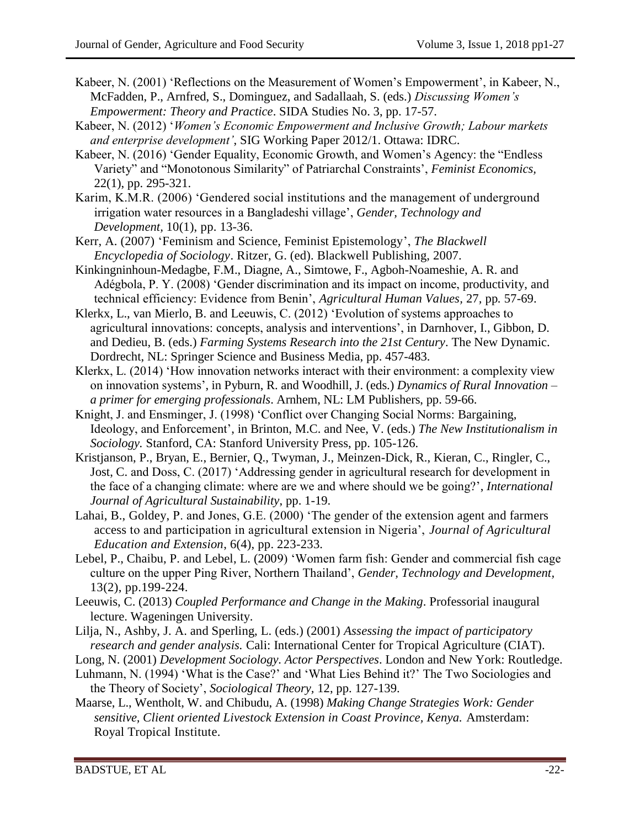- Kabeer, N. (2001) 'Reflections on the Measurement of Women's Empowerment', in Kabeer, N., McFadden, P., Arnfred, S., Dominguez, and Sadallaah, S. (eds.) *Discussing Women's Empowerment: Theory and Practice*. SIDA Studies No. 3, pp. 17-57.
- Kabeer, N. (2012) '*Women's Economic Empowerment and Inclusive Growth; Labour markets and enterprise development'*, SIG Working Paper 2012/1. Ottawa: IDRC.
- Kabeer, N. (2016) 'Gender Equality, Economic Growth, and Women's Agency: the "Endless Variety" and "Monotonous Similarity" of Patriarchal Constraints', *Feminist Economics,*  22(1), pp. 295-321.
- Karim, K.M.R. (2006) 'Gendered social institutions and the management of underground irrigation water resources in a Bangladeshi village', *Gender, Technology and Development,* 10(1), pp. 13-36.
- Kerr, A. (2007) 'Feminism and Science, Feminist Epistemology', *The Blackwell Encyclopedia of Sociology*. Ritzer, G. (ed). Blackwell Publishing, 2007.
- Kinkingninhoun-Medagbe, F.M., Diagne, A., Simtowe, F., Agboh-Noameshie, A. R. and Adégbola, P. Y. (2008) 'Gender discrimination and its impact on income, productivity, and technical efficiency: Evidence from Benin', *Agricultural Human Values,* 27*,* pp*.* 57-69.
- Klerkx, L., van Mierlo, B. and Leeuwis, C. (2012) 'Evolution of systems approaches to agricultural innovations: concepts, analysis and interventions', in Darnhover, I., Gibbon, D. and Dedieu, B. (eds.) *Farming Systems Research into the 21st Century*. The New Dynamic. Dordrecht, NL: Springer Science and Business Media, pp. 457-483.
- Klerkx, L. (2014) 'How innovation networks interact with their environment: a complexity view on innovation systems', in Pyburn, R. and Woodhill, J. (eds.) *Dynamics of Rural Innovation – a primer for emerging professionals*. Arnhem, NL: LM Publishers, pp. 59-66.
- Knight, J. and Ensminger, J. (1998) 'Conflict over Changing Social Norms: Bargaining, Ideology, and Enforcement', in Brinton, M.C. and Nee, V. (eds.) *The New Institutionalism in Sociology.* Stanford, CA: Stanford University Press, pp. 105-126.
- Kristjanson, P., Bryan, E., Bernier, Q., Twyman, J., Meinzen-Dick, R., Kieran, C., Ringler, C., Jost, C. and Doss, C. (2017) 'Addressing gender in agricultural research for development in the face of a changing climate: where are we and where should we be going?', *International Journal of Agricultural Sustainability*, pp. 1-19.
- Lahai, B., Goldey, P. and Jones, G.E. (2000) 'The gender of the extension agent and farmers access to and participation in agricultural extension in Nigeria', *Journal of Agricultural Education and Extension*, 6(4), pp. 223-233.
- Lebel, P., Chaibu, P. and Lebel, L. (2009) 'Women farm fish: Gender and commercial fish cage culture on the upper Ping River, Northern Thailand', *Gender, Technology and Development,* 13(2), pp.199-224.
- Leeuwis, C. (2013) *Coupled Performance and Change in the Making*. Professorial inaugural lecture. Wageningen University.
- Lilja, N., Ashby, J. A. and Sperling, L. (eds.) (2001) *Assessing the impact of participatory research and gender analysis.* Cali: International Center for Tropical Agriculture (CIAT).
- Long, N. (2001) *[Development Sociology. Actor Perspectives](http://books.google.com.au/books?id=gy72Of6powsC&printsec=frontcover&dq=norman+long&hl=en&sa=X&ei=UIC9Upr7J8jIkQX8noDQDQ&ved=0CDEQ6AEwAA#v=onepage&q=norman%20long&f=false)*. London and New York: Routledge.
- Luhmann, N. (1994) 'What is the Case?' and 'What Lies Behind it?' The Two Sociologies and the Theory of Society', *Sociological Theory,* 12, pp. 127-139.
- Maarse, L., Wentholt, W. and Chibudu, A. (1998) *Making Change Strategies Work: Gender sensitive, Client oriented Livestock Extension in Coast Province, Kenya.* Amsterdam: Royal Tropical Institute.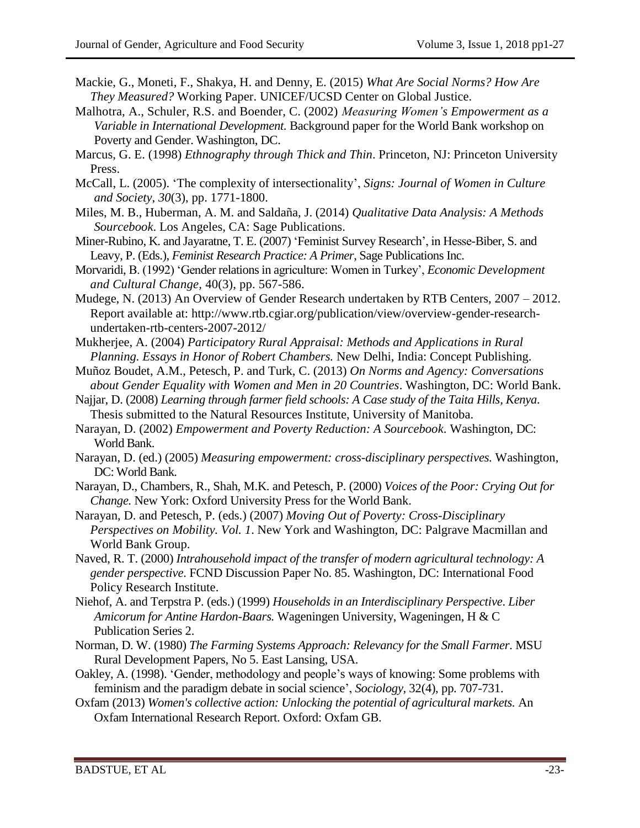- Mackie, G., Moneti, F., Shakya, H. and Denny, E. (2015) *What Are Social Norms? How Are They Measured?* Working Paper. UNICEF/UCSD Center on Global Justice.
- Malhotra, A., Schuler, R.S. and Boender, C. (2002) *Measuring Women's Empowerment as a Variable in International Development.* Background paper for the World Bank workshop on Poverty and Gender. Washington, DC.
- Marcus, G. E. (1998) *Ethnography through Thick and Thin*. Princeton, NJ: Princeton University Press.
- McCall, L. (2005). 'The complexity of intersectionality', *Signs: Journal of Women in Culture and Society*, *30*(3), pp. 1771-1800.
- Miles, M. B., Huberman, A. M. and Saldaña, J. (2014) *Qualitative Data Analysis: A Methods Sourcebook*. Los Angeles, CA: Sage Publications.
- Miner-Rubino, K. and Jayaratne, T. E. (2007) 'Feminist Survey Research', in Hesse-Biber, S. and Leavy, P. (Eds.), *Feminist Research Practice: A Primer*, Sage Publications Inc.
- Morvaridi, B. (1992) 'Gender relations in agriculture: Women in Turkey', *Economic Development and Cultural Change,* 40(3), pp. 567-586.
- Mudege, N. (2013) An Overview of Gender Research undertaken by RTB Centers, 2007 2012. Report available at: http://www.rtb.cgiar.org/publication/view/overview-gender-researchundertaken-rtb-centers-2007-2012/
- Mukherjee, A. (2004) *Participatory Rural Appraisal: Methods and Applications in Rural Planning. Essays in Honor of Robert Chambers.* New Delhi, India: Concept Publishing.
- Muñoz Boudet, A.M., Petesch, P. and Turk, C. (2013) *On Norms and Agency: Conversations about Gender Equality with Women and Men in 20 Countries*. Washington, DC: World Bank.
- Najjar, D. (2008) *Learning through farmer field schools: A Case study of the Taita Hills, Kenya*. Thesis submitted to the Natural Resources Institute, University of Manitoba.
- Narayan, D. (2002) *Empowerment and Poverty Reduction: A Sourcebook*. Washington, DC: World Bank.
- Narayan, D. (ed.) (2005) *Measuring empowerment: cross-disciplinary perspectives.* Washington, DC: World Bank.
- Narayan, D., Chambers, R., Shah, M.K. and Petesch, P. (2000) *Voices of the Poor: Crying Out for Change.* New York: Oxford University Press for the World Bank.
- Narayan, D. and Petesch, P. (eds.) (2007) *Moving Out of Poverty: Cross-Disciplinary Perspectives on Mobility. Vol. 1*. New York and Washington, DC: Palgrave Macmillan and World Bank Group.
- Naved, R. T. (2000) *Intrahousehold impact of the transfer of modern agricultural technology: A gender perspective*. FCND Discussion Paper No. 85. Washington, DC: International Food Policy Research Institute.
- Niehof, A. and Terpstra P. (eds.) (1999) *Households in an Interdisciplinary Perspective*. *Liber Amicorum for Antine Hardon-Baars.* Wageningen University, Wageningen, H & C Publication Series 2.
- Norman, D. W. (1980) *The Farming Systems Approach: Relevancy for the Small Farmer*. MSU Rural Development Papers, No 5. East Lansing, USA.
- Oakley, A. (1998). 'Gender, methodology and people's ways of knowing: Some problems with feminism and the paradigm debate in social science', *Sociology*, 32(4), pp. 707-731.
- Oxfam (2013) *Women's collective action: Unlocking the potential of agricultural markets.* An Oxfam International Research Report. Oxford: Oxfam GB.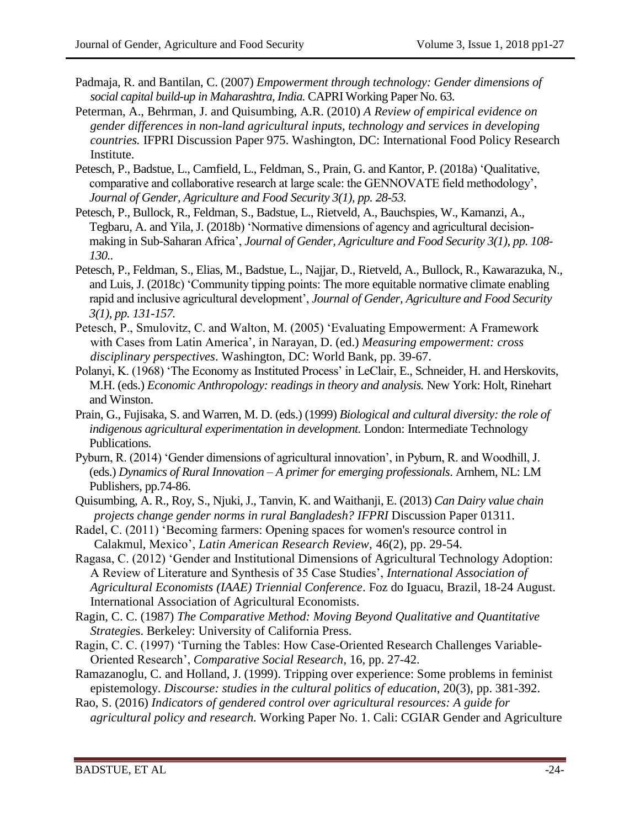- Padmaja, R. and Bantilan, C. (2007) *Empowerment through technology: Gender dimensions of social capital build-up in Maharashtra, India.* CAPRI Working Paper No. 63.
- Peterman, A., Behrman, J. and Quisumbing, A.R. (2010) *A Review of empirical evidence on gender differences in non-land agricultural inputs, technology and services in developing countries.* IFPRI Discussion Paper 975. Washington, DC: International Food Policy Research Institute.
- Petesch, P., Badstue, L., Camfield, L., Feldman, S., Prain, G. and Kantor, P. (2018a) 'Qualitative, comparative and collaborative research at large scale: the GENNOVATE field methodology', *Journal of Gender, Agriculture and Food Security 3(1), pp. 28-53.*
- Petesch, P., Bullock, R., Feldman, S., Badstue, L., Rietveld, A., Bauchspies, W., Kamanzi, A., Tegbaru, A. and Yila, J. (2018b) 'Normative dimensions of agency and agricultural decisionmaking in Sub-Saharan Africa', *Journal of Gender, Agriculture and Food Security 3(1), pp. 108- 130..*
- Petesch, P., Feldman, S., Elias, M., Badstue, L., Najjar, D., Rietveld, A., Bullock, R., Kawarazuka, N., and Luis, J. (2018c) 'Community tipping points: The more equitable normative climate enabling rapid and inclusive agricultural development', *Journal of Gender, Agriculture and Food Security 3(1), pp. 131-157.*
- Petesch, P., Smulovitz, C. and Walton, M. (2005) 'Evaluating Empowerment: A Framework with Cases from Latin America', in Narayan, D. (ed.) *Measuring empowerment: cross disciplinary perspectives*. Washington, DC: World Bank, pp. 39-67.
- Polanyi, K. (1968) 'The Economy as Instituted Process' in LeClair, E., Schneider, H. and Herskovits, M.H. (eds.) *Economic Anthropology: readings in theory and analysis.* New York: Holt, Rinehart and Winston.
- Prain, G., Fujisaka, S. and Warren, M. D. (eds.) (1999) *Biological and cultural diversity: the role of indigenous agricultural experimentation in development.* London: Intermediate Technology Publications.
- Pyburn, R. (2014) 'Gender dimensions of agricultural innovation', in Pyburn, R. and Woodhill, J. (eds.) *Dynamics of Rural Innovation – A primer for emerging professionals*. Arnhem, NL: LM Publishers, pp.74-86.
- Quisumbing, A. R., Roy, S., Njuki, J., Tanvin, K. and Waithanji, E. (2013) *Can Dairy value chain projects change gender norms in rural Bangladesh? IFPRI Discussion Paper 01311.*
- Radel, C. (2011) 'Becoming farmers: Opening spaces for women's resource control in Calakmul, Mexico', *Latin American Research Review,* 46(2), pp. 29-54.
- Ragasa, C. (2012) 'Gender and Institutional Dimensions of Agricultural Technology Adoption: A Review of Literature and Synthesis of 35 Case Studies', *International Association of Agricultural Economists (IAAE) Triennial Conference*. Foz do Iguacu, Brazil, 18-24 August. International Association of Agricultural Economists.
- Ragin, C. C. (1987) *The Comparative Method: Moving Beyond Qualitative and Quantitative Strategie*s. Berkeley: University of California Press.
- Ragin, C. C. (1997) 'Turning the Tables: How Case-Oriented Research Challenges Variable-Oriented Research', *Comparative Social Research*, 16, pp. 27-42.
- Ramazanoglu, C. and Holland, J. (1999). Tripping over experience: Some problems in feminist epistemology. *Discourse: studies in the cultural politics of education*, 20(3), pp. 381-392.
- Rao, S. (2016) *Indicators of gendered control over agricultural resources: A guide for agricultural policy and research.* Working Paper No. 1. Cali: CGIAR Gender and Agriculture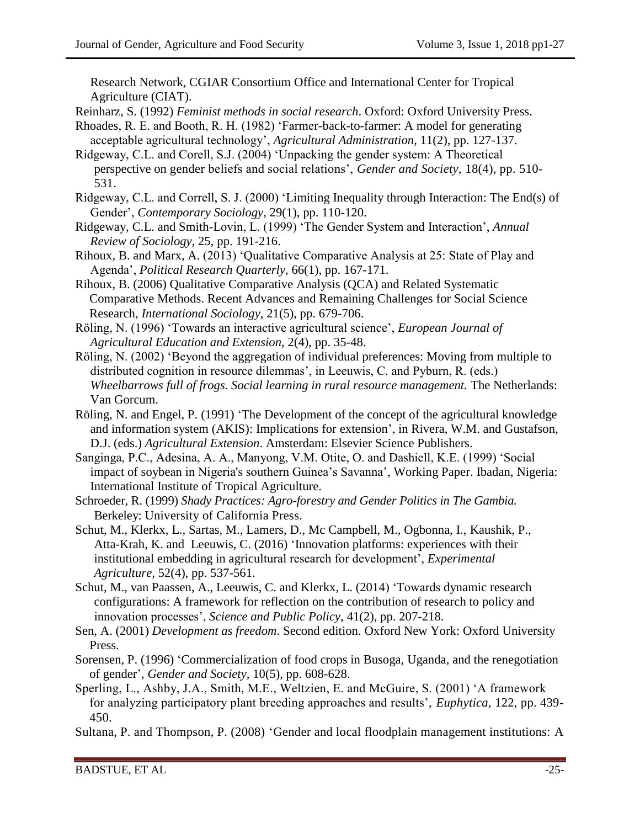Research Network, CGIAR Consortium Office and International Center for Tropical Agriculture (CIAT).

- Reinharz, S. (1992) *Feminist methods in social research*. Oxford: Oxford University Press.
- Rhoades, R. E. and Booth, R. H. (1982) 'Farmer-back-to-farmer: A model for generating acceptable agricultural technology', *Agricultural Administration*, 11(2), pp. 127-137.
- Ridgeway, C.L. and Corell, S.J. (2004) 'Unpacking the gender system: A Theoretical perspective on gender beliefs and social relations', *Gender and Society,* 18(4), pp. 510- 531.
- Ridgeway, C.L. and Correll, S. J. (2000) 'Limiting Inequality through Interaction: The End(s) of Gender', *Contemporary Sociology*, 29(1), pp. 110-120.
- Ridgeway, C.L. and Smith-Lovin, L. (1999) 'The Gender System and Interaction', *Annual Review of Sociology,* 25, pp. 191-216.
- Rihoux, B. and Marx, A. (2013) 'Qualitative Comparative Analysis at 25: State of Play and Agenda', *Political Research Quarterly,* 66(1), pp. 167-171.
- Rihoux, B. (2006) Qualitative Comparative Analysis (QCA) and Related Systematic Comparative Methods. Recent Advances and Remaining Challenges for Social Science Research, *International Sociology,* 21(5), pp. 679-706.
- Röling, N. (1996) 'Towards an interactive agricultural science', *European Journal of Agricultural Education and Extension,* 2(4), pp. 35-48.
- Röling, N. (2002) 'Beyond the aggregation of individual preferences: Moving from multiple to distributed cognition in resource dilemmas', in Leeuwis, C. and Pyburn, R. (eds.) *Wheelbarrows full of frogs. Social learning in rural resource management.* The Netherlands: Van Gorcum.
- Röling, N. and Engel, P. (1991) 'The Development of the concept of the agricultural knowledge and information system (AKIS): Implications for extension', in Rivera, W.M. and Gustafson, D.J. (eds.) *Agricultural Extension*. Amsterdam: Elsevier Science Publishers.
- Sanginga, P.C., Adesina, A. A., Manyong, V.M. Otite, O. and Dashiell, K.E. (1999) 'Social impact of soybean in Nigeria's southern Guinea's Savanna', Working Paper. Ibadan, Nigeria: International Institute of Tropical Agriculture.
- Schroeder, R. (1999) *Shady Practices: Agro-forestry and Gender Politics in The Gambia.*  Berkeley: University of California Press.
- Schut, M., Klerkx, L., Sartas, M., Lamers, D., Mc Campbell, M., Ogbonna, I., Kaushik, P., Atta-Krah, K. and Leeuwis, C. (2016) 'Innovation platforms: experiences with their institutional embedding in agricultural research for development', *Experimental Agriculture*, 52(4), pp. 537-561.
- Schut, M., van Paassen, A., Leeuwis, C. and Klerkx, L. (2014) 'Towards dynamic research configurations: A framework for reflection on the contribution of research to policy and innovation processes', *Science and Public Policy*, 41(2), pp. 207-218.
- Sen, A. (2001) *Development as freedom*. Second edition. Oxford New York: Oxford University Press.
- Sorensen, P. (1996) 'Commercialization of food crops in Busoga, Uganda, and the renegotiation of gender', *Gender and Society,* 10(5), pp. 608-628.
- Sperling, L., Ashby, J.A., Smith, M.E., Weltzien, E. and McGuire, S. (2001) 'A framework for analyzing participatory plant breeding approaches and results', *Euphytica,* 122, pp. 439- 450.
- Sultana, P. and Thompson, P. (2008) 'Gender and local floodplain management institutions: A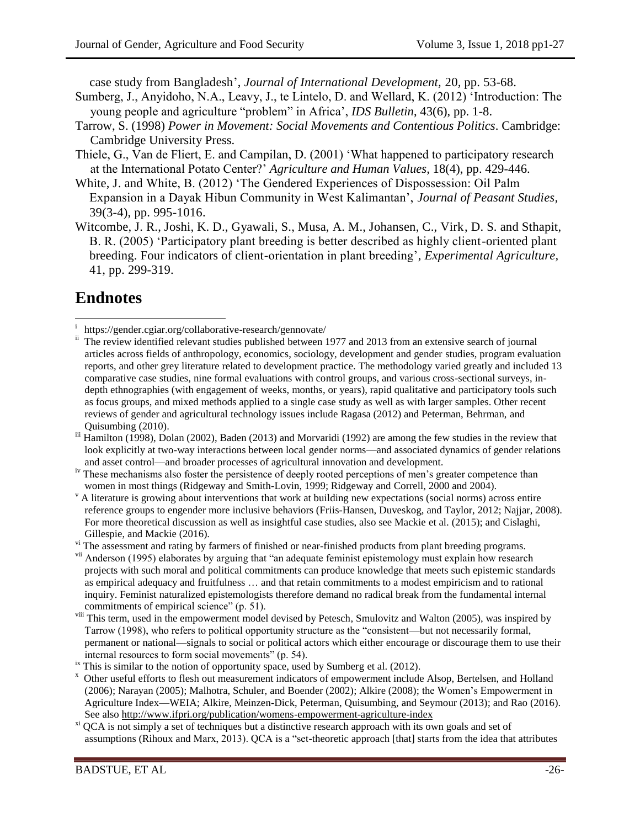case study from Bangladesh', *Journal of International Development,* 20*,* pp. 53-68.

- Sumberg, J., Anyidoho, N.A., Leavy, J., te Lintelo, D. and Wellard, K. (2012) 'Introduction: The young people and agriculture "problem" in Africa', *IDS Bulletin*, 43(6), pp. 1-8.
- Tarrow, S. (1998) *Power in Movement: Social Movements and Contentious Politics*. Cambridge: Cambridge University Press.
- Thiele, G., Van de Fliert, E. and Campilan, D. (2001) 'What happened to participatory research at the International Potato Center?' *Agriculture and Human Values,* 18(4), pp. 429-446.
- White, J. and White, B. (2012) 'The Gendered Experiences of Dispossession: Oil Palm Expansion in a Dayak Hibun Community in West Kalimantan', *Journal of Peasant Studies,*  39(3-4), pp. 995-1016.
- Witcombe, J. R., Joshi, K. D., Gyawali, S., Musa, A. M., Johansen, C., Virk, D. S. and Sthapit, B. R. (2005) 'Participatory plant breeding is better described as highly client-oriented plant breeding. Four indicators of client-orientation in plant breeding', *Experimental Agriculture,*  41, pp. 299-319.

## **Endnotes**

vi The assessment and rating by farmers of finished or near-finished products from plant breeding programs.

- <sup>vii</sup> Anderson (1995) elaborates by arguing that "an adequate feminist epistemology must explain how research projects with such moral and political commitments can produce knowledge that meets such epistemic standards as empirical adequacy and fruitfulness … and that retain commitments to a modest empiricism and to rational inquiry. Feminist naturalized epistemologists therefore demand no radical break from the fundamental internal commitments of empirical science" (p. 51).
- viii This term, used in the empowerment model devised by Petesch, Smulovitz and Walton (2005), was inspired by Tarrow (1998), who refers to political opportunity structure as the "consistent—but not necessarily formal, permanent or national—signals to social or political actors which either encourage or discourage them to use their internal resources to form social movements" (p. 54).
- This is similar to the notion of opportunity space, used by Sumberg et al. (2012).
- <sup>x</sup> Other useful efforts to flesh out measurement indicators of empowerment include Alsop, Bertelsen, and Holland (2006); Narayan (2005); Malhotra, Schuler, and Boender (2002); Alkire (2008); the Women's Empowerment in Agriculture Index—WEIA; Alkire, Meinzen-Dick, Peterman, Quisumbing, and Seymour (2013); and Rao (2016). See also<http://www.ifpri.org/publication/womens-empowerment-agriculture-index>
- <sup>xi</sup> OCA is not simply a set of techniques but a distinctive research approach with its own goals and set of assumptions (Rihoux and Marx, 2013). QCA is a "set-theoretic approach [that] starts from the idea that attributes

l i <https://gender.cgiar.org/collaborative-research/gennovate/>

The review identified relevant studies published between 1977 and 2013 from an extensive search of journal articles across fields of anthropology, economics, sociology, development and gender studies, program evaluation reports, and other grey literature related to development practice. The methodology varied greatly and included 13 comparative case studies, nine formal evaluations with control groups, and various cross-sectional surveys, indepth ethnographies (with engagement of weeks, months, or years), rapid qualitative and participatory tools such as focus groups, and mixed methods applied to a single case study as well as with larger samples. Other recent reviews of gender and agricultural technology issues include Ragasa (2012) and Peterman, Behrman, and Quisumbing (2010).

iii Hamilton (1998), Dolan (2002), Baden (2013) and Morvaridi (1992) are among the few studies in the review that look explicitly at two-way interactions between local gender norms—and associated dynamics of gender relations and asset control—and broader processes of agricultural innovation and development.

iv These mechanisms also foster the persistence of deeply rooted perceptions of men's greater competence than women in most things (Ridgeway and Smith-Lovin, 1999; Ridgeway and Correll, 2000 and 2004).

 $\gamma$  A literature is growing about interventions that work at building new expectations (social norms) across entire reference groups to engender more inclusive behaviors (Friis-Hansen, Duveskog, and Taylor, 2012; Najjar, 2008). For more theoretical discussion as well as insightful case studies, also see Mackie et al. (2015); and Cislaghi, Gillespie, and Mackie (2016).